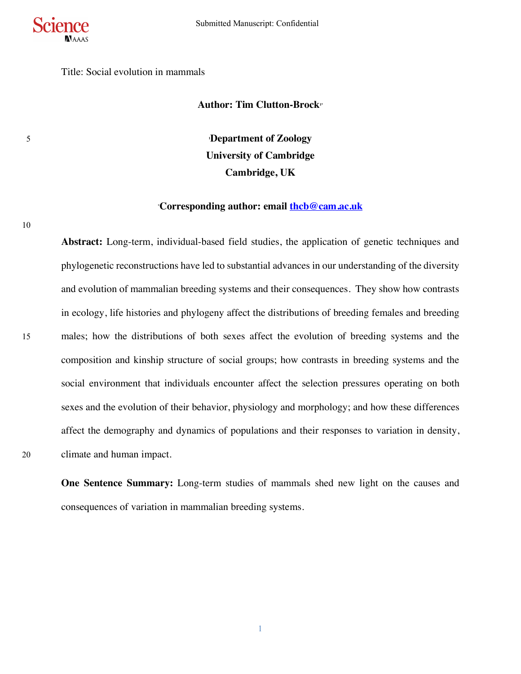

Title: Social evolution in mammals

## **Author: Tim Clutton-Brock1\***

5 **<sup>1</sup> Department of Zoology University of Cambridge Cambridge, UK**

## **\* Corresponding author: email thcb@cam.ac.uk**

10

**Abstract:** Long-term, individual-based field studies, the application of genetic techniques and phylogenetic reconstructions have led to substantial advances in our understanding of the diversity and evolution of mammalian breeding systems and their consequences. They show how contrasts in ecology, life histories and phylogeny affect the distributions of breeding females and breeding 15 males; how the distributions of both sexes affect the evolution of breeding systems and the composition and kinship structure of social groups; how contrasts in breeding systems and the social environment that individuals encounter affect the selection pressures operating on both sexes and the evolution of their behavior, physiology and morphology; and how these differences affect the demography and dynamics of populations and their responses to variation in density, 20 climate and human impact.

**One Sentence Summary:** Long-term studies of mammals shed new light on the causes and consequences of variation in mammalian breeding systems.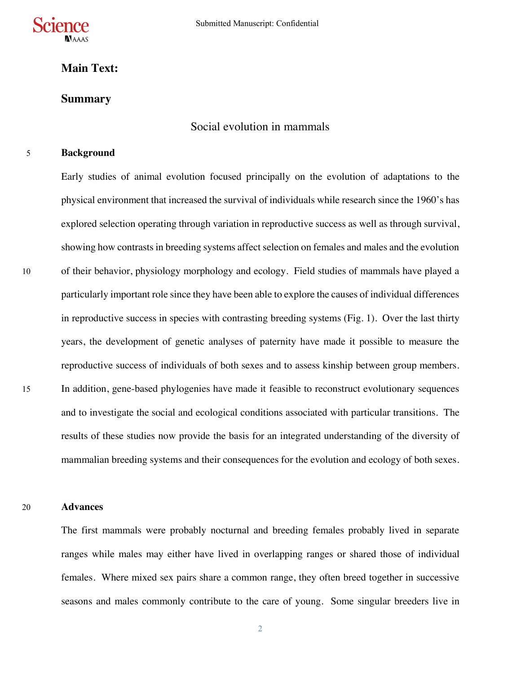

# **Main Text:**

## **Summary**

# Social evolution in mammals

## 5 **Background**

Early studies of animal evolution focused principally on the evolution of adaptations to the physical environment that increased the survival of individuals while research since the 1960's has explored selection operating through variation in reproductive success as well as through survival, showing how contrastsin breeding systems affect selection on females and males and the evolution 10 of their behavior, physiology morphology and ecology. Field studies of mammals have played a particularly important role since they have been able to explore the causes of individual differences in reproductive success in species with contrasting breeding systems (Fig. 1). Over the last thirty years, the development of genetic analyses of paternity have made it possible to measure the reproductive success of individuals of both sexes and to assess kinship between group members. 15 In addition, gene-based phylogenies have made it feasible to reconstruct evolutionary sequences and to investigate the social and ecological conditions associated with particular transitions. The results of these studies now provide the basis for an integrated understanding of the diversity of mammalian breeding systems and their consequences for the evolution and ecology of both sexes.

## 20 **Advances**

The first mammals were probably nocturnal and breeding females probably lived in separate ranges while males may either have lived in overlapping ranges or shared those of individual females. Where mixed sex pairs share a common range, they often breed together in successive seasons and males commonly contribute to the care of young. Some singular breeders live in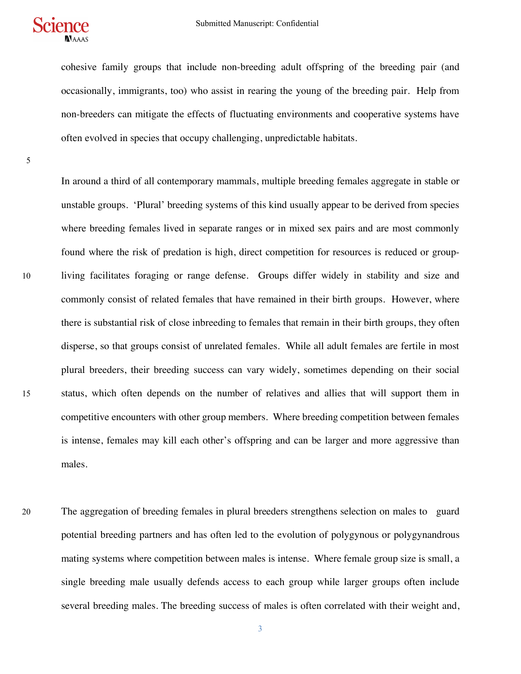

cohesive family groups that include non-breeding adult offspring of the breeding pair (and occasionally, immigrants, too) who assist in rearing the young of the breeding pair. Help from non-breeders can mitigate the effects of fluctuating environments and cooperative systems have often evolved in species that occupy challenging, unpredictable habitats.

5

In around a third of all contemporary mammals, multiple breeding females aggregate in stable or unstable groups. 'Plural' breeding systems of this kind usually appear to be derived from species where breeding females lived in separate ranges or in mixed sex pairs and are most commonly found where the risk of predation is high, direct competition for resources is reduced or group-10 living facilitates foraging or range defense. Groups differ widely in stability and size and commonly consist of related females that have remained in their birth groups. However, where there is substantial risk of close inbreeding to females that remain in their birth groups, they often disperse, so that groups consist of unrelated females. While all adult females are fertile in most plural breeders, their breeding success can vary widely, sometimes depending on their social 15 status, which often depends on the number of relatives and allies that will support them in competitive encounters with other group members. Where breeding competition between females is intense, females may kill each other's offspring and can be larger and more aggressive than males.

20 The aggregation of breeding females in plural breeders strengthens selection on males to guard potential breeding partners and has often led to the evolution of polygynous or polygynandrous mating systems where competition between males is intense. Where female group size is small, a single breeding male usually defends access to each group while larger groups often include several breeding males. The breeding success of males is often correlated with their weight and,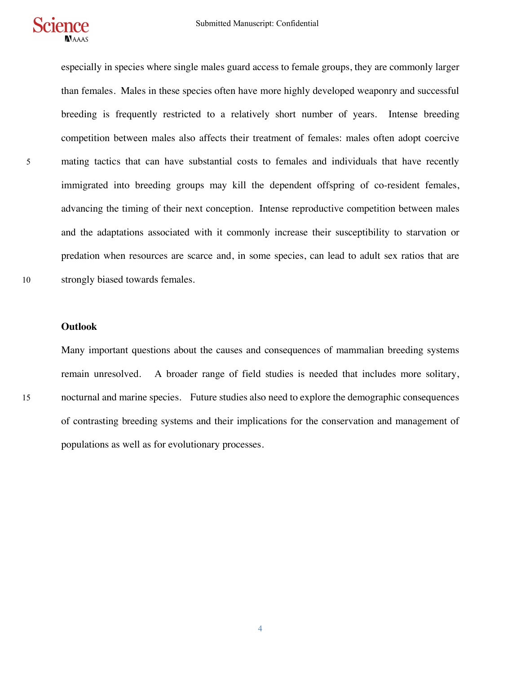

especially in species where single males guard access to female groups, they are commonly larger than females. Males in these species often have more highly developed weaponry and successful breeding is frequently restricted to a relatively short number of years. Intense breeding competition between males also affects their treatment of females: males often adopt coercive 5 mating tactics that can have substantial costs to females and individuals that have recently immigrated into breeding groups may kill the dependent offspring of co-resident females, advancing the timing of their next conception. Intense reproductive competition between males and the adaptations associated with it commonly increase their susceptibility to starvation or predation when resources are scarce and, in some species, can lead to adult sex ratios that are 10 strongly biased towards females.

#### **Outlook**

Many important questions about the causes and consequences of mammalian breeding systems remain unresolved. A broader range of field studies is needed that includes more solitary, 15 nocturnal and marine species. Future studies also need to explore the demographic consequences of contrasting breeding systems and their implications for the conservation and management of populations as well as for evolutionary processes.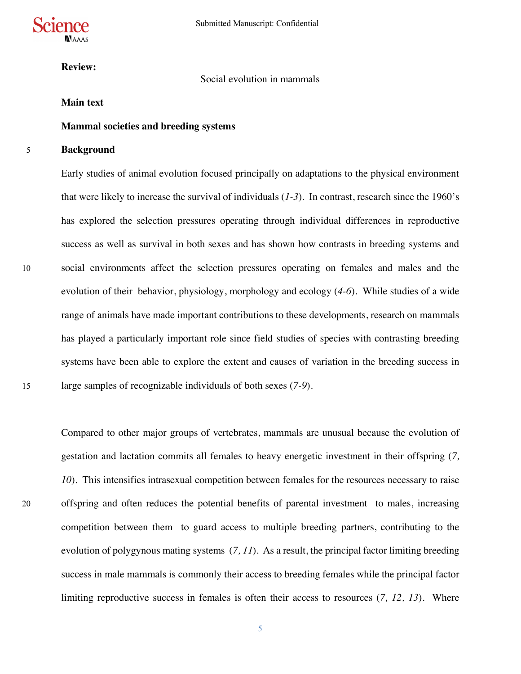

**Review:** 

## Social evolution in mammals

## **Main text**

## **Mammal societies and breeding systems**

## 5 **Background**

Early studies of animal evolution focused principally on adaptations to the physical environment that were likely to increase the survival of individuals (*1-3*). In contrast, research since the 1960's has explored the selection pressures operating through individual differences in reproductive success as well as survival in both sexes and has shown how contrasts in breeding systems and 10 social environments affect the selection pressures operating on females and males and the evolution of their behavior, physiology, morphology and ecology (*4-6*). While studies of a wide range of animals have made important contributions to these developments, research on mammals has played a particularly important role since field studies of species with contrasting breeding systems have been able to explore the extent and causes of variation in the breeding success in 15 large samples of recognizable individuals of both sexes (*7-9*).

Compared to other major groups of vertebrates, mammals are unusual because the evolution of gestation and lactation commits all females to heavy energetic investment in their offspring (*7, 10*). This intensifies intrasexual competition between females for the resources necessary to raise 20 offspring and often reduces the potential benefits of parental investment to males, increasing competition between them to guard access to multiple breeding partners, contributing to the evolution of polygynous mating systems (*7, 11*). As a result, the principal factor limiting breeding success in male mammals is commonly their access to breeding females while the principal factor limiting reproductive success in females is often their access to resources (*7, 12, 13*). Where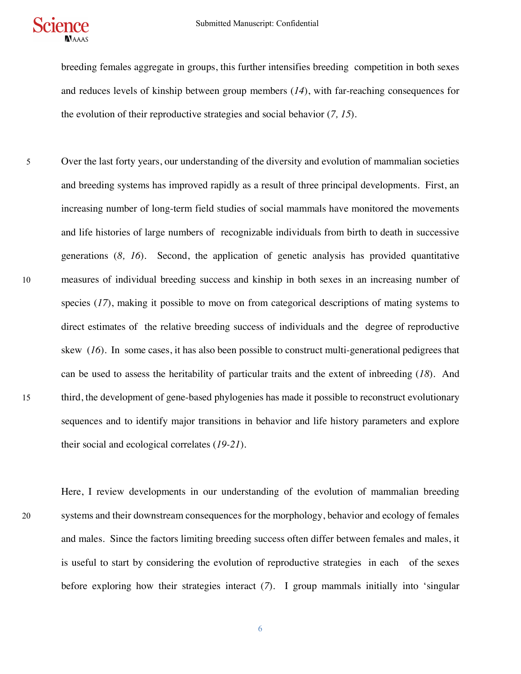

breeding females aggregate in groups, this further intensifies breeding competition in both sexes and reduces levels of kinship between group members (*14*), with far-reaching consequences for the evolution of their reproductive strategies and social behavior (*7, 15*).

5 Over the last forty years, our understanding of the diversity and evolution of mammalian societies and breeding systems has improved rapidly as a result of three principal developments. First, an increasing number of long-term field studies of social mammals have monitored the movements and life histories of large numbers of recognizable individuals from birth to death in successive generations (*8, 16*). Second, the application of genetic analysis has provided quantitative 10 measures of individual breeding success and kinship in both sexes in an increasing number of species (*17*), making it possible to move on from categorical descriptions of mating systems to direct estimates of the relative breeding success of individuals and the degree of reproductive skew (*16*). In some cases, it has also been possible to construct multi-generational pedigrees that can be used to assess the heritability of particular traits and the extent of inbreeding (*18*). And 15 third, the development of gene-based phylogenies has made it possible to reconstruct evolutionary sequences and to identify major transitions in behavior and life history parameters and explore their social and ecological correlates (*19-21*).

Here, I review developments in our understanding of the evolution of mammalian breeding 20 systems and their downstream consequences for the morphology, behavior and ecology of females and males. Since the factors limiting breeding success often differ between females and males, it is useful to start by considering the evolution of reproductive strategies in each of the sexes before exploring how their strategies interact (*7*). I group mammals initially into 'singular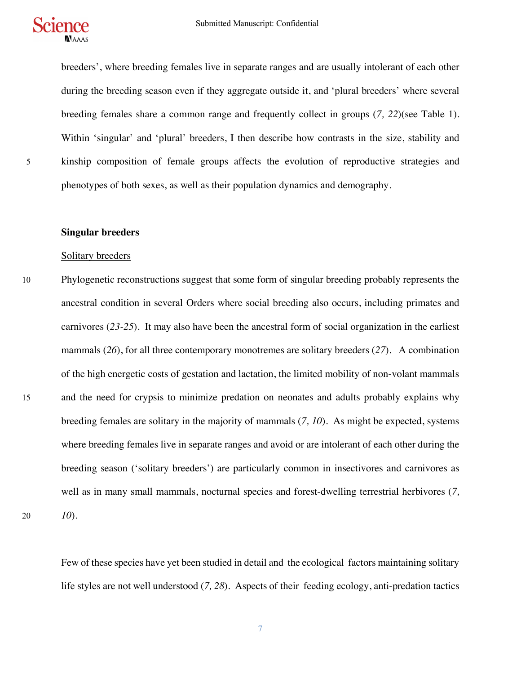

breeders', where breeding females live in separate ranges and are usually intolerant of each other during the breeding season even if they aggregate outside it, and 'plural breeders' where several breeding females share a common range and frequently collect in groups (*7, 22*)(see Table 1). Within 'singular' and 'plural' breeders, I then describe how contrasts in the size, stability and 5 kinship composition of female groups affects the evolution of reproductive strategies and phenotypes of both sexes, as well as their population dynamics and demography.

#### **Singular breeders**

#### Solitary breeders

10 Phylogenetic reconstructions suggest that some form of singular breeding probably represents the ancestral condition in several Orders where social breeding also occurs, including primates and carnivores (*23-25*). It may also have been the ancestral form of social organization in the earliest mammals (*26*), for all three contemporary monotremes are solitary breeders (*27*). A combination of the high energetic costs of gestation and lactation, the limited mobility of non-volant mammals 15 and the need for crypsis to minimize predation on neonates and adults probably explains why breeding females are solitary in the majority of mammals (*7, 10*). As might be expected, systems where breeding females live in separate ranges and avoid or are intolerant of each other during the breeding season ('solitary breeders') are particularly common in insectivores and carnivores as well as in many small mammals, nocturnal species and forest-dwelling terrestrial herbivores (*7,*  20 *10*).

Few of these species have yet been studied in detail and the ecological factors maintaining solitary life styles are not well understood (*7, 28*). Aspects of their feeding ecology, anti-predation tactics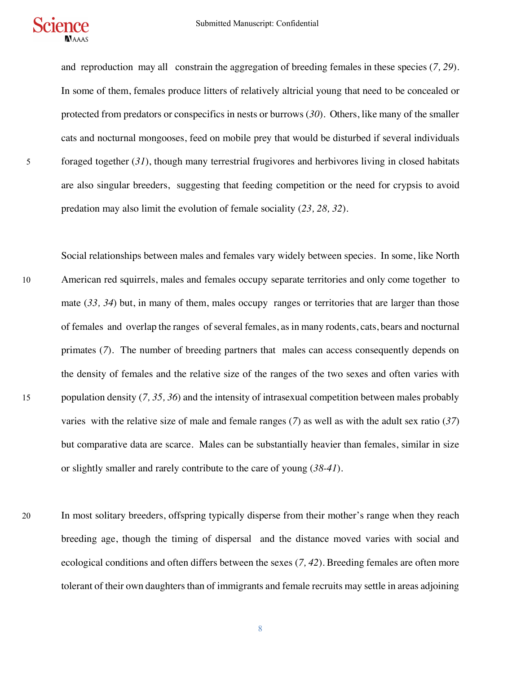

and reproduction may all constrain the aggregation of breeding females in these species (*7, 29*). In some of them, females produce litters of relatively altricial young that need to be concealed or protected from predators or conspecifics in nests or burrows (*30*). Others, like many of the smaller cats and nocturnal mongooses, feed on mobile prey that would be disturbed if several individuals 5 foraged together (*31*), though many terrestrial frugivores and herbivores living in closed habitats are also singular breeders, suggesting that feeding competition or the need for crypsis to avoid predation may also limit the evolution of female sociality (*23, 28, 32*).

- Social relationships between males and females vary widely between species. In some, like North 10 American red squirrels, males and females occupy separate territories and only come together to mate (*33, 34*) but, in many of them, males occupy ranges or territories that are larger than those of females and overlap the ranges of several females, as in many rodents, cats, bears and nocturnal primates (*7*). The number of breeding partners that males can access consequently depends on the density of females and the relative size of the ranges of the two sexes and often varies with 15 population density (*7, 35, 36*) and the intensity of intrasexual competition between males probably varies with the relative size of male and female ranges (*7*) as well as with the adult sex ratio (*37*) but comparative data are scarce. Males can be substantially heavier than females, similar in size or slightly smaller and rarely contribute to the care of young (*38-41*).
- 20 In most solitary breeders, offspring typically disperse from their mother's range when they reach breeding age, though the timing of dispersal and the distance moved varies with social and ecological conditions and often differs between the sexes (*7, 42*). Breeding females are often more tolerant of their own daughters than of immigrants and female recruits may settle in areas adjoining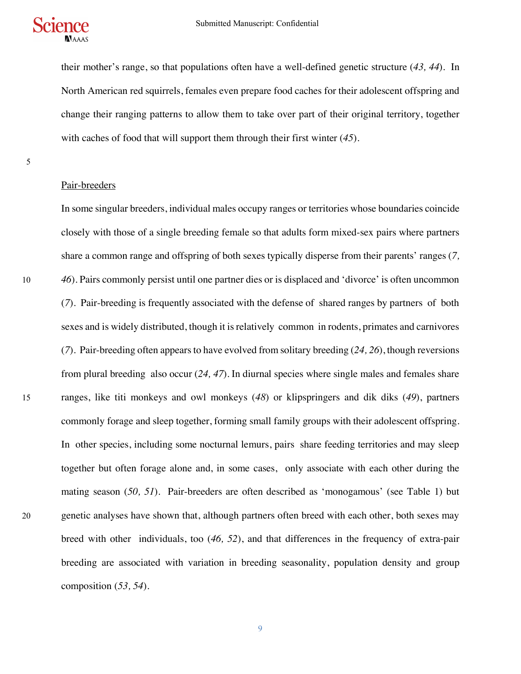

their mother's range, so that populations often have a well-defined genetic structure (*43, 44*). In North American red squirrels, females even prepare food caches for their adolescent offspring and change their ranging patterns to allow them to take over part of their original territory, together with caches of food that will support them through their first winter (*45*).

5

#### Pair-breeders

In some singular breeders, individual males occupy ranges or territories whose boundaries coincide closely with those of a single breeding female so that adults form mixed-sex pairs where partners share a common range and offspring of both sexes typically disperse from their parents' ranges (*7,*  10 *46*). Pairs commonly persist until one partner dies or is displaced and 'divorce' is often uncommon (*7*). Pair-breeding is frequently associated with the defense of shared ranges by partners of both sexes and is widely distributed, though it is relatively common in rodents, primates and carnivores (*7*). Pair-breeding often appears to have evolved from solitary breeding (*24, 26*), though reversions from plural breeding also occur (*24, 47*). In diurnal species where single males and females share 15 ranges, like titi monkeys and owl monkeys (*48*) or klipspringers and dik diks (*49*), partners commonly forage and sleep together, forming small family groups with their adolescent offspring. In other species, including some nocturnal lemurs, pairs share feeding territories and may sleep together but often forage alone and, in some cases, only associate with each other during the mating season (*50, 51*). Pair-breeders are often described as 'monogamous' (see Table 1) but 20 genetic analyses have shown that, although partners often breed with each other, both sexes may breed with other individuals, too (*46, 52*), and that differences in the frequency of extra-pair breeding are associated with variation in breeding seasonality, population density and group composition (*53, 54*).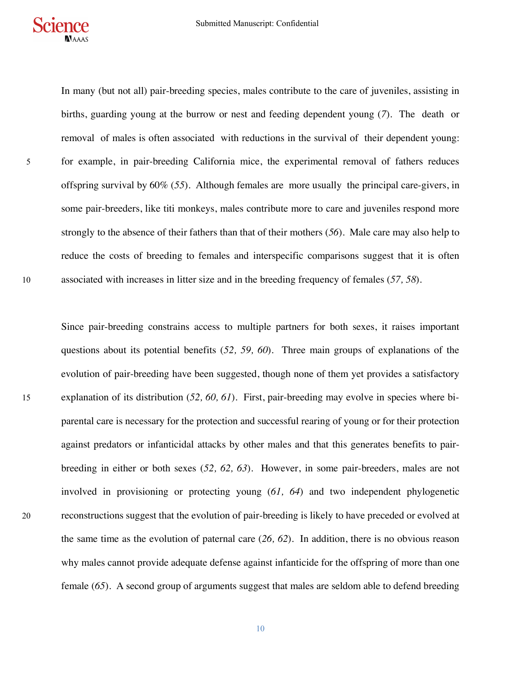

In many (but not all) pair-breeding species, males contribute to the care of juveniles, assisting in births, guarding young at the burrow or nest and feeding dependent young (*7*). The death or removal of males is often associated with reductions in the survival of their dependent young: 5 for example, in pair-breeding California mice, the experimental removal of fathers reduces offspring survival by 60% (*55*). Although females are more usually the principal care-givers, in some pair-breeders, like titi monkeys, males contribute more to care and juveniles respond more strongly to the absence of their fathers than that of their mothers (*56*). Male care may also help to reduce the costs of breeding to females and interspecific comparisons suggest that it is often 10 associated with increases in litter size and in the breeding frequency of females (*57, 58*).

Since pair-breeding constrains access to multiple partners for both sexes, it raises important questions about its potential benefits (*52, 59, 60*). Three main groups of explanations of the evolution of pair-breeding have been suggested, though none of them yet provides a satisfactory 15 explanation of its distribution (*52, 60, 61*). First, pair-breeding may evolve in species where biparental care is necessary for the protection and successful rearing of young or for their protection against predators or infanticidal attacks by other males and that this generates benefits to pairbreeding in either or both sexes (*52, 62, 63*). However, in some pair-breeders, males are not involved in provisioning or protecting young (*61, 64*) and two independent phylogenetic 20 reconstructions suggest that the evolution of pair-breeding is likely to have preceded or evolved at the same time as the evolution of paternal care (*26, 62*). In addition, there is no obvious reason why males cannot provide adequate defense against infanticide for the offspring of more than one female (*65*). A second group of arguments suggest that males are seldom able to defend breeding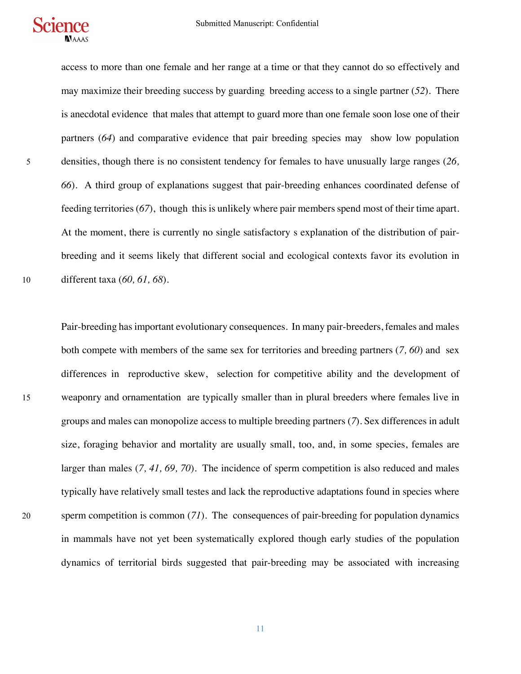

access to more than one female and her range at a time or that they cannot do so effectively and may maximize their breeding success by guarding breeding access to a single partner (*52*). There is anecdotal evidence that males that attempt to guard more than one female soon lose one of their partners (*64*) and comparative evidence that pair breeding species may show low population 5 densities, though there is no consistent tendency for females to have unusually large ranges (*26, 66*). A third group of explanations suggest that pair-breeding enhances coordinated defense of feeding territories (*67*), though this is unlikely where pair members spend most of their time apart. At the moment, there is currently no single satisfactory s explanation of the distribution of pairbreeding and it seems likely that different social and ecological contexts favor its evolution in 10 different taxa (*60, 61, 68*).

Pair-breeding has important evolutionary consequences. In many pair-breeders, females and males both compete with members of the same sex for territories and breeding partners (*7, 60*) and sex differences in reproductive skew, selection for competitive ability and the development of 15 weaponry and ornamentation are typically smaller than in plural breeders where females live in groups and males can monopolize access to multiple breeding partners (*7*). Sex differences in adult size, foraging behavior and mortality are usually small, too, and, in some species, females are larger than males (*7, 41, 69, 70*). The incidence of sperm competition is also reduced and males typically have relatively small testes and lack the reproductive adaptations found in species where 20 sperm competition is common (*71*). The consequences of pair-breeding for population dynamics in mammals have not yet been systematically explored though early studies of the population dynamics of territorial birds suggested that pair-breeding may be associated with increasing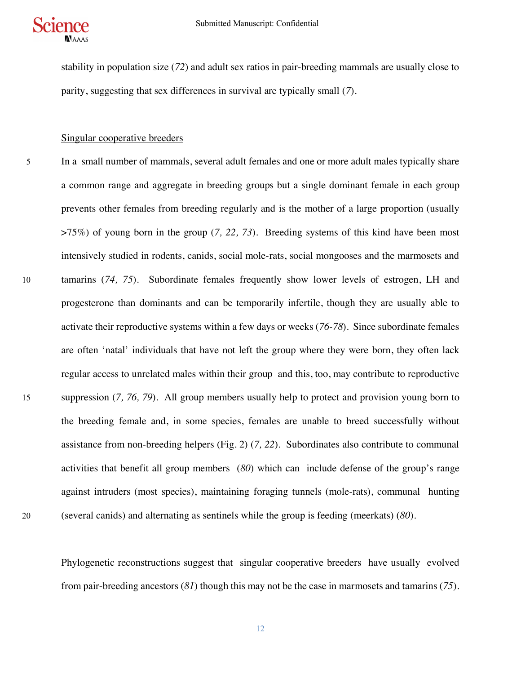

stability in population size (*72*) and adult sex ratios in pair-breeding mammals are usually close to parity, suggesting that sex differences in survival are typically small (*7*).

#### Singular cooperative breeders

5 In a small number of mammals, several adult females and one or more adult males typically share a common range and aggregate in breeding groups but a single dominant female in each group prevents other females from breeding regularly and is the mother of a large proportion (usually >75%) of young born in the group (*7, 22, 73*). Breeding systems of this kind have been most intensively studied in rodents, canids, social mole-rats, social mongooses and the marmosets and 10 tamarins (*74, 75*). Subordinate females frequently show lower levels of estrogen, LH and progesterone than dominants and can be temporarily infertile, though they are usually able to activate their reproductive systems within a few days or weeks (*76-78*). Since subordinate females are often 'natal' individuals that have not left the group where they were born, they often lack regular access to unrelated males within their group and this, too, may contribute to reproductive 15 suppression (*7, 76, 79*). All group members usually help to protect and provision young born to the breeding female and, in some species, females are unable to breed successfully without assistance from non-breeding helpers (Fig. 2) (*7, 22*). Subordinates also contribute to communal activities that benefit all group members (*80*) which can include defense of the group's range against intruders (most species), maintaining foraging tunnels (mole-rats), communal hunting 20 (several canids) and alternating as sentinels while the group is feeding (meerkats) (*80*).

Phylogenetic reconstructions suggest that singular cooperative breeders have usually evolved from pair-breeding ancestors (*81*) though this may not be the case in marmosets and tamarins (*75*).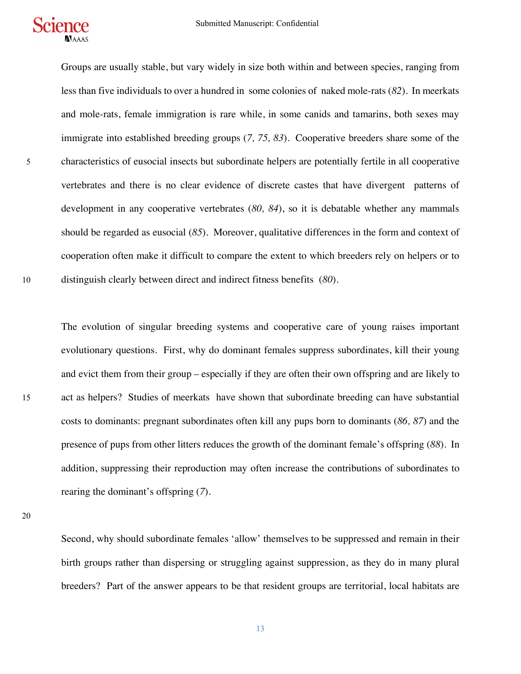

Groups are usually stable, but vary widely in size both within and between species, ranging from less than five individuals to over a hundred in some colonies of naked mole-rats (*82*). In meerkats and mole-rats, female immigration is rare while, in some canids and tamarins, both sexes may immigrate into established breeding groups (*7, 75, 83*). Cooperative breeders share some of the 5 characteristics of eusocial insects but subordinate helpers are potentially fertile in all cooperative vertebrates and there is no clear evidence of discrete castes that have divergent patterns of development in any cooperative vertebrates (*80, 84*), so it is debatable whether any mammals should be regarded as eusocial (*85*). Moreover, qualitative differences in the form and context of cooperation often make it difficult to compare the extent to which breeders rely on helpers or to 10 distinguish clearly between direct and indirect fitness benefits (*80*).

The evolution of singular breeding systems and cooperative care of young raises important evolutionary questions. First, why do dominant females suppress subordinates, kill their young and evict them from their group – especially if they are often their own offspring and are likely to 15 act as helpers? Studies of meerkats have shown that subordinate breeding can have substantial costs to dominants: pregnant subordinates often kill any pups born to dominants (*86, 87*) and the presence of pups from other litters reduces the growth of the dominant female's offspring (*88*). In addition, suppressing their reproduction may often increase the contributions of subordinates to rearing the dominant's offspring (*7*).

20

Second, why should subordinate females 'allow' themselves to be suppressed and remain in their birth groups rather than dispersing or struggling against suppression, as they do in many plural breeders? Part of the answer appears to be that resident groups are territorial, local habitats are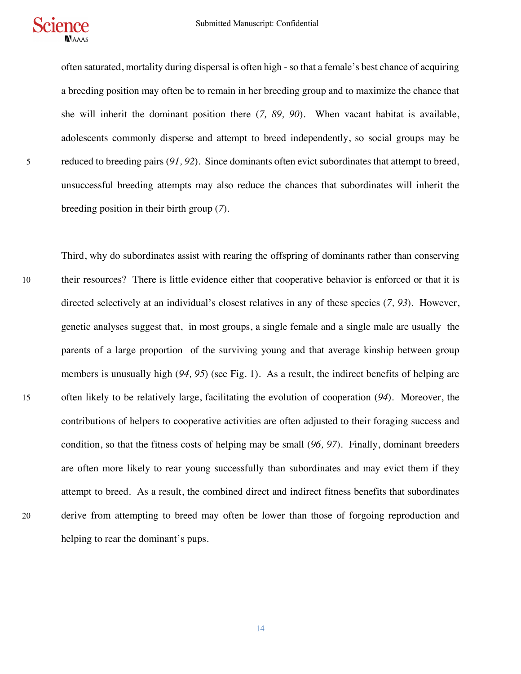

often saturated, mortality during dispersal is often high - so that a female's best chance of acquiring a breeding position may often be to remain in her breeding group and to maximize the chance that she will inherit the dominant position there (*7, 89, 90*). When vacant habitat is available, adolescents commonly disperse and attempt to breed independently, so social groups may be 5 reduced to breeding pairs (*91, 92*). Since dominants often evict subordinates that attempt to breed, unsuccessful breeding attempts may also reduce the chances that subordinates will inherit the breeding position in their birth group (*7*).

Third, why do subordinates assist with rearing the offspring of dominants rather than conserving 10 their resources? There is little evidence either that cooperative behavior is enforced or that it is directed selectively at an individual's closest relatives in any of these species (*7, 93*). However, genetic analyses suggest that, in most groups, a single female and a single male are usually the parents of a large proportion of the surviving young and that average kinship between group members is unusually high (*94, 95*) (see Fig. 1). As a result, the indirect benefits of helping are 15 often likely to be relatively large, facilitating the evolution of cooperation (*94*). Moreover, the contributions of helpers to cooperative activities are often adjusted to their foraging success and condition, so that the fitness costs of helping may be small (*96, 97*). Finally, dominant breeders are often more likely to rear young successfully than subordinates and may evict them if they attempt to breed. As a result, the combined direct and indirect fitness benefits that subordinates 20 derive from attempting to breed may often be lower than those of forgoing reproduction and helping to rear the dominant's pups.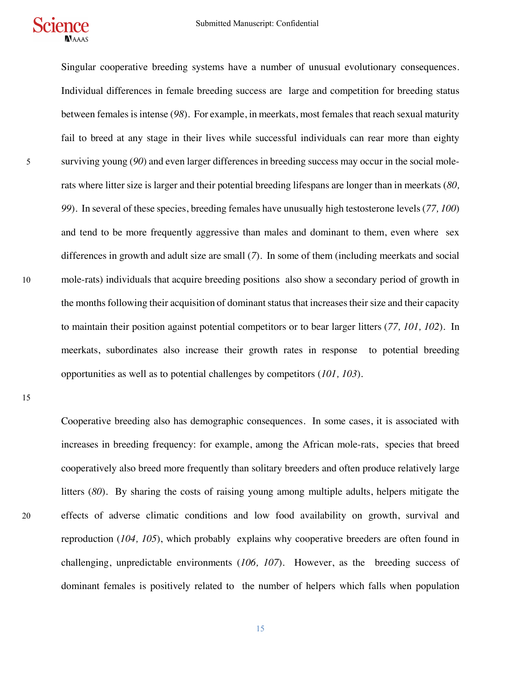

Singular cooperative breeding systems have a number of unusual evolutionary consequences. Individual differences in female breeding success are large and competition for breeding status between females is intense (*98*). For example, in meerkats, most females that reach sexual maturity fail to breed at any stage in their lives while successful individuals can rear more than eighty 5 surviving young (*90*) and even larger differences in breeding success may occur in the social molerats where litter size is larger and their potential breeding lifespans are longer than in meerkats (*80, 99*). In several of these species, breeding females have unusually high testosterone levels (*77, 100*) and tend to be more frequently aggressive than males and dominant to them, even where sex differences in growth and adult size are small (*7*). In some of them (including meerkats and social 10 mole-rats) individuals that acquire breeding positions also show a secondary period of growth in the months following their acquisition of dominant status that increases their size and their capacity to maintain their position against potential competitors or to bear larger litters (*77, 101, 102*). In meerkats, subordinates also increase their growth rates in response to potential breeding opportunities as well as to potential challenges by competitors (*101, 103*).

15

Cooperative breeding also has demographic consequences. In some cases, it is associated with increases in breeding frequency: for example, among the African mole-rats, species that breed cooperatively also breed more frequently than solitary breeders and often produce relatively large litters (*80*). By sharing the costs of raising young among multiple adults, helpers mitigate the 20 effects of adverse climatic conditions and low food availability on growth, survival and reproduction (*104, 105*), which probably explains why cooperative breeders are often found in challenging, unpredictable environments (*106, 107*). However, as the breeding success of dominant females is positively related to the number of helpers which falls when population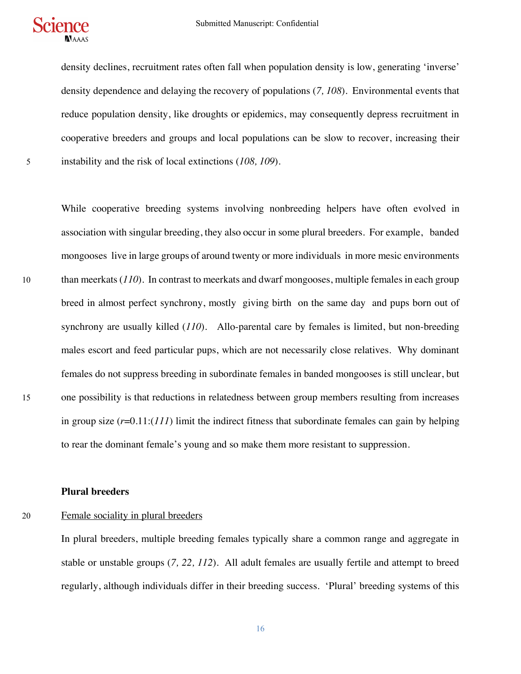



density declines, recruitment rates often fall when population density is low, generating 'inverse' density dependence and delaying the recovery of populations (*7, 108*). Environmental events that reduce population density, like droughts or epidemics, may consequently depress recruitment in cooperative breeders and groups and local populations can be slow to recover, increasing their 5 instability and the risk of local extinctions (*108, 109*).

While cooperative breeding systems involving nonbreeding helpers have often evolved in association with singular breeding, they also occur in some plural breeders. For example, banded mongooses live in large groups of around twenty or more individuals in more mesic environments 10 than meerkats (*110*). In contrast to meerkats and dwarf mongooses, multiple females in each group breed in almost perfect synchrony, mostly giving birth on the same day and pups born out of synchrony are usually killed (*110*). Allo-parental care by females is limited, but non-breeding males escort and feed particular pups, which are not necessarily close relatives. Why dominant females do not suppress breeding in subordinate females in banded mongooses is still unclear, but 15 one possibility is that reductions in relatedness between group members resulting from increases in group size (*r*=0.11:(*111*) limit the indirect fitness that subordinate females can gain by helping to rear the dominant female's young and so make them more resistant to suppression.

**Plural breeders**

20 Female sociality in plural breeders

In plural breeders, multiple breeding females typically share a common range and aggregate in stable or unstable groups (*7, 22, 112*). All adult females are usually fertile and attempt to breed regularly, although individuals differ in their breeding success. 'Plural' breeding systems of this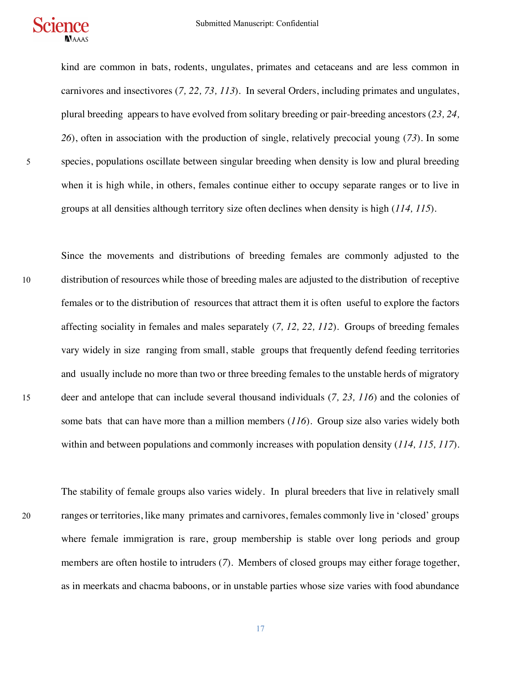

kind are common in bats, rodents, ungulates, primates and cetaceans and are less common in carnivores and insectivores (*7, 22, 73, 113*). In several Orders, including primates and ungulates, plural breeding appears to have evolved from solitary breeding or pair-breeding ancestors (*23, 24, 26*), often in association with the production of single, relatively precocial young (*73*). In some 5 species, populations oscillate between singular breeding when density is low and plural breeding when it is high while, in others, females continue either to occupy separate ranges or to live in groups at all densities although territory size often declines when density is high (*114, 115*).

Since the movements and distributions of breeding females are commonly adjusted to the 10 distribution of resources while those of breeding males are adjusted to the distribution of receptive females or to the distribution of resources that attract them it is often useful to explore the factors affecting sociality in females and males separately (*7, 12, 22, 112*). Groups of breeding females vary widely in size ranging from small, stable groups that frequently defend feeding territories and usually include no more than two or three breeding females to the unstable herds of migratory 15 deer and antelope that can include several thousand individuals (*7, 23, 116*) and the colonies of some bats that can have more than a million members (*116*). Group size also varies widely both within and between populations and commonly increases with population density (*114, 115, 117*).

The stability of female groups also varies widely. In plural breeders that live in relatively small 20 ranges or territories, like many primates and carnivores, females commonly live in 'closed' groups where female immigration is rare, group membership is stable over long periods and group members are often hostile to intruders (*7*). Members of closed groups may either forage together, as in meerkats and chacma baboons, or in unstable parties whose size varies with food abundance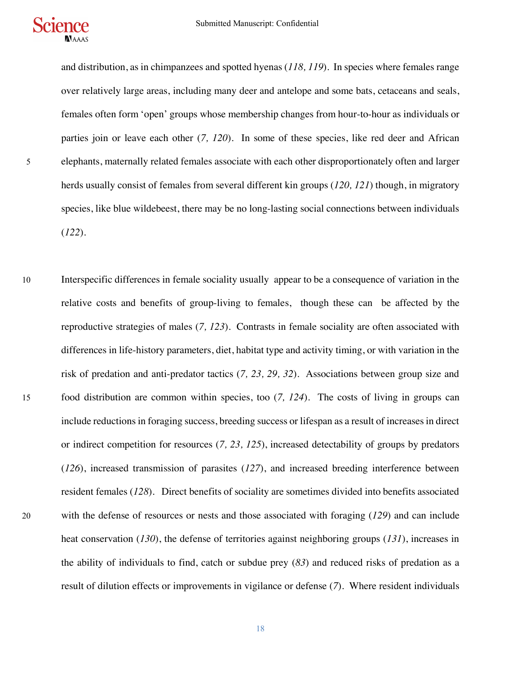

and distribution, as in chimpanzees and spotted hyenas (*118, 119*). In species where females range over relatively large areas, including many deer and antelope and some bats, cetaceans and seals, females often form 'open' groups whose membership changes from hour-to-hour as individuals or parties join or leave each other (*7, 120*). In some of these species, like red deer and African 5 elephants, maternally related females associate with each other disproportionately often and larger herds usually consist of females from several different kin groups (*120, 121*) though, in migratory species, like blue wildebeest, there may be no long-lasting social connections between individuals (*122*).

10 Interspecific differences in female sociality usually appear to be a consequence of variation in the relative costs and benefits of group-living to females, though these can be affected by the reproductive strategies of males (*7, 123*). Contrasts in female sociality are often associated with differences in life-history parameters, diet, habitat type and activity timing, or with variation in the risk of predation and anti-predator tactics (*7, 23, 29, 32*). Associations between group size and 15 food distribution are common within species, too (*7, 124*). The costs of living in groups can include reductions in foraging success, breeding success or lifespan as a result of increases in direct or indirect competition for resources (*7, 23, 125*), increased detectability of groups by predators (*126*), increased transmission of parasites (*127*), and increased breeding interference between resident females (*128*). Direct benefits of sociality are sometimes divided into benefits associated 20 with the defense of resources or nests and those associated with foraging (*129*) and can include heat conservation (*130*), the defense of territories against neighboring groups (*131*), increases in the ability of individuals to find, catch or subdue prey (*83*) and reduced risks of predation as a result of dilution effects or improvements in vigilance or defense (*7*). Where resident individuals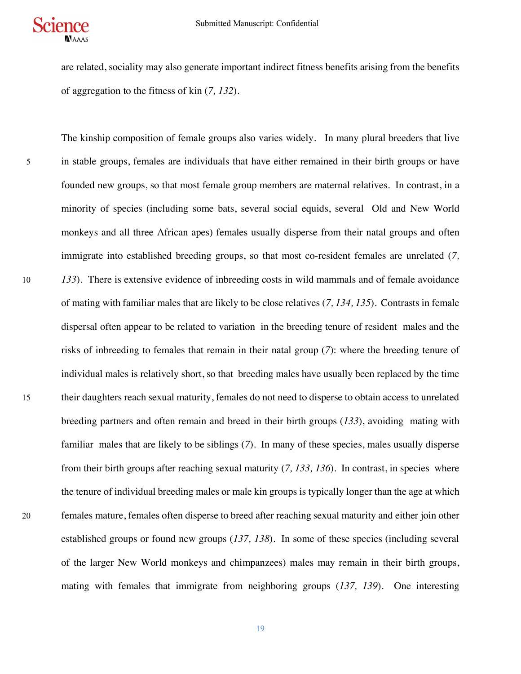

are related, sociality may also generate important indirect fitness benefits arising from the benefits of aggregation to the fitness of kin (*7, 132*).

The kinship composition of female groups also varies widely. In many plural breeders that live 5 in stable groups, females are individuals that have either remained in their birth groups or have founded new groups, so that most female group members are maternal relatives. In contrast, in a minority of species (including some bats, several social equids, several Old and New World monkeys and all three African apes) females usually disperse from their natal groups and often immigrate into established breeding groups, so that most co-resident females are unrelated (*7,*  10 *133*). There is extensive evidence of inbreeding costs in wild mammals and of female avoidance of mating with familiar males that are likely to be close relatives (*7, 134, 135*). Contrasts in female dispersal often appear to be related to variation in the breeding tenure of resident males and the risks of inbreeding to females that remain in their natal group (*7*): where the breeding tenure of individual males is relatively short, so that breeding males have usually been replaced by the time 15 their daughters reach sexual maturity, females do not need to disperse to obtain access to unrelated breeding partners and often remain and breed in their birth groups (*133*), avoiding mating with familiar males that are likely to be siblings (*7*). In many of these species, males usually disperse from their birth groups after reaching sexual maturity (*7, 133, 136*). In contrast, in species where the tenure of individual breeding males or male kin groups is typically longer than the age at which 20 females mature, females often disperse to breed after reaching sexual maturity and either join other established groups or found new groups (*137, 138*). In some of these species (including several of the larger New World monkeys and chimpanzees) males may remain in their birth groups, mating with females that immigrate from neighboring groups (*137, 139*). One interesting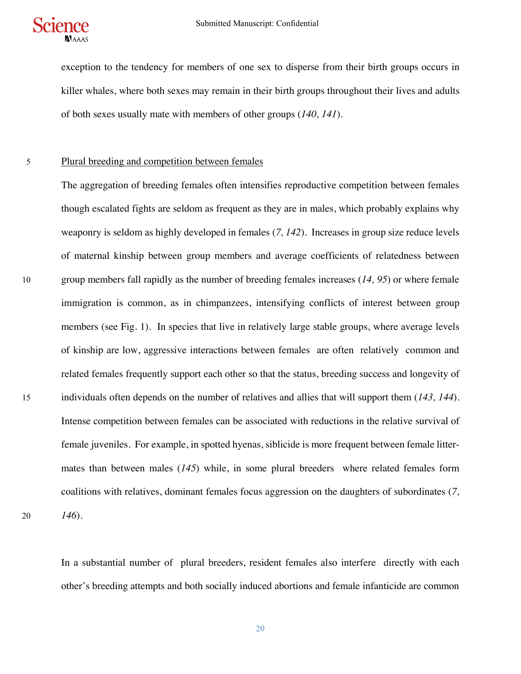

exception to the tendency for members of one sex to disperse from their birth groups occurs in killer whales, where both sexes may remain in their birth groups throughout their lives and adults of both sexes usually mate with members of other groups (*140, 141*).

## 5 Plural breeding and competition between females

The aggregation of breeding females often intensifies reproductive competition between females though escalated fights are seldom as frequent as they are in males, which probably explains why weaponry is seldom as highly developed in females (*7, 142*). Increases in group size reduce levels of maternal kinship between group members and average coefficients of relatedness between 10 group members fall rapidly as the number of breeding females increases (*14, 95*) or where female immigration is common, as in chimpanzees, intensifying conflicts of interest between group members (see Fig. 1). In species that live in relatively large stable groups, where average levels of kinship are low, aggressive interactions between females are often relatively common and related females frequently support each other so that the status, breeding success and longevity of 15 individuals often depends on the number of relatives and allies that will support them (*143, 144*). Intense competition between females can be associated with reductions in the relative survival of female juveniles. For example, in spotted hyenas, siblicide is more frequent between female littermates than between males (*145*) while, in some plural breeders where related females form coalitions with relatives, dominant females focus aggression on the daughters of subordinates (*7,*  20 *146*).

In a substantial number of plural breeders, resident females also interfere directly with each other's breeding attempts and both socially induced abortions and female infanticide are common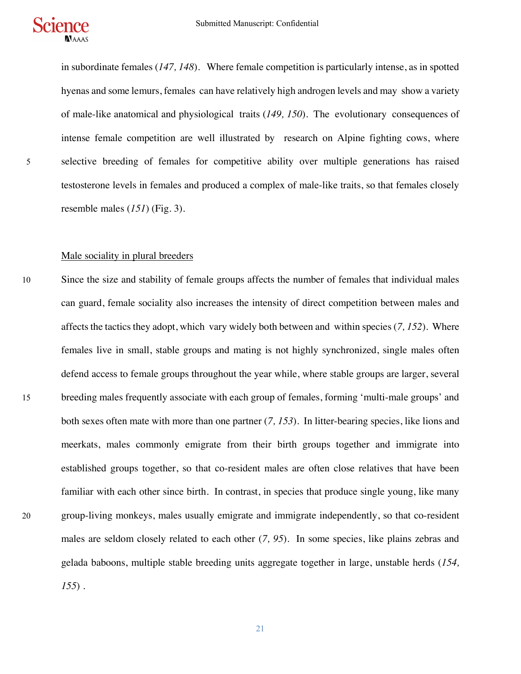

in subordinate females (*147, 148*). Where female competition is particularly intense, as in spotted hyenas and some lemurs, females can have relatively high androgen levels and may show a variety of male-like anatomical and physiological traits (*149, 150*). The evolutionary consequences of intense female competition are well illustrated by research on Alpine fighting cows, where 5 selective breeding of females for competitive ability over multiple generations has raised testosterone levels in females and produced a complex of male-like traits, so that females closely resemble males (*151*) (Fig. 3).

## Male sociality in plural breeders

10 Since the size and stability of female groups affects the number of females that individual males can guard, female sociality also increases the intensity of direct competition between males and affects the tactics they adopt, which vary widely both between and within species (*7, 152*). Where females live in small, stable groups and mating is not highly synchronized, single males often defend access to female groups throughout the year while, where stable groups are larger, several 15 breeding males frequently associate with each group of females, forming 'multi-male groups' and both sexes often mate with more than one partner (*7, 153*). In litter-bearing species, like lions and meerkats, males commonly emigrate from their birth groups together and immigrate into established groups together, so that co-resident males are often close relatives that have been familiar with each other since birth. In contrast, in species that produce single young, like many 20 group-living monkeys, males usually emigrate and immigrate independently, so that co-resident males are seldom closely related to each other (*7, 95*). In some species, like plains zebras and gelada baboons, multiple stable breeding units aggregate together in large, unstable herds (*154, 155*) .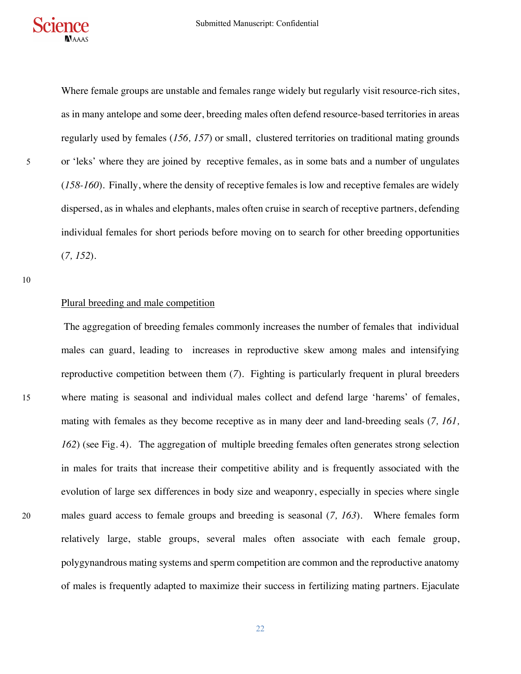Where female groups are unstable and females range widely but regularly visit resource-rich sites, as in many antelope and some deer, breeding males often defend resource-based territories in areas regularly used by females (*156, 157*) or small, clustered territories on traditional mating grounds 5 or 'leks' where they are joined by receptive females, as in some bats and a number of ungulates (*158-160*). Finally, where the density of receptive females is low and receptive females are widely dispersed, as in whales and elephants, males often cruise in search of receptive partners, defending individual females for short periods before moving on to search for other breeding opportunities (*7, 152*).

10

#### Plural breeding and male competition

The aggregation of breeding females commonly increases the number of females that individual males can guard, leading to increases in reproductive skew among males and intensifying reproductive competition between them (*7*). Fighting is particularly frequent in plural breeders 15 where mating is seasonal and individual males collect and defend large 'harems' of females, mating with females as they become receptive as in many deer and land-breeding seals (*7, 161, 162*) (see Fig. 4). The aggregation of multiple breeding females often generates strong selection in males for traits that increase their competitive ability and is frequently associated with the evolution of large sex differences in body size and weaponry, especially in species where single 20 males guard access to female groups and breeding is seasonal (*7, 163*). Where females form relatively large, stable groups, several males often associate with each female group, polygynandrous mating systems and sperm competition are common and the reproductive anatomy of males is frequently adapted to maximize their success in fertilizing mating partners. Ejaculate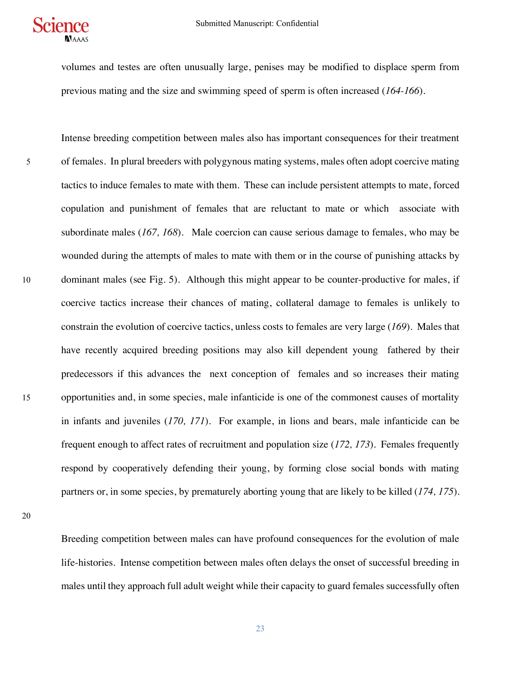

volumes and testes are often unusually large, penises may be modified to displace sperm from previous mating and the size and swimming speed of sperm is often increased (*164-166*).

Intense breeding competition between males also has important consequences for their treatment 5 of females. In plural breeders with polygynous mating systems, males often adopt coercive mating tactics to induce females to mate with them. These can include persistent attempts to mate, forced copulation and punishment of females that are reluctant to mate or which associate with subordinate males (*167, 168*). Male coercion can cause serious damage to females, who may be wounded during the attempts of males to mate with them or in the course of punishing attacks by 10 dominant males (see Fig. 5). Although this might appear to be counter-productive for males, if coercive tactics increase their chances of mating, collateral damage to females is unlikely to constrain the evolution of coercive tactics, unless costs to females are very large (*169*). Males that have recently acquired breeding positions may also kill dependent young fathered by their predecessors if this advances the next conception of females and so increases their mating 15 opportunities and, in some species, male infanticide is one of the commonest causes of mortality in infants and juveniles (*170, 171*). For example, in lions and bears, male infanticide can be frequent enough to affect rates of recruitment and population size (*172, 173*). Females frequently respond by cooperatively defending their young, by forming close social bonds with mating partners or, in some species, by prematurely aborting young that are likely to be killed (*174, 175*).

20

Breeding competition between males can have profound consequences for the evolution of male life-histories. Intense competition between males often delays the onset of successful breeding in males until they approach full adult weight while their capacity to guard females successfully often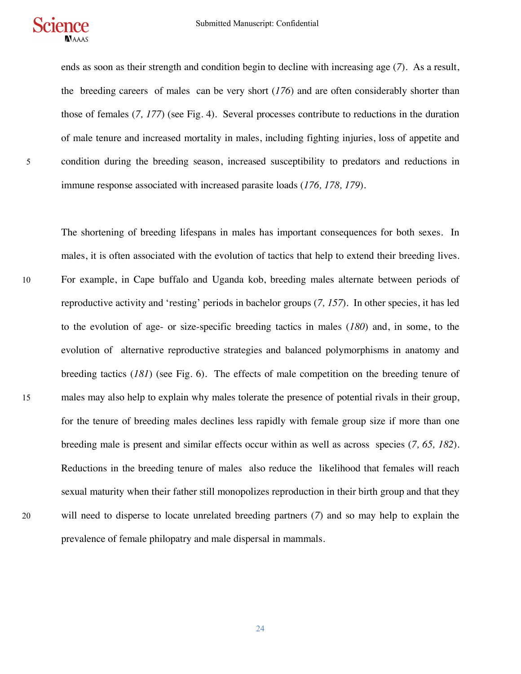

ends as soon as their strength and condition begin to decline with increasing age (*7*). As a result, the breeding careers of males can be very short (*176*) and are often considerably shorter than those of females (*7, 177*) (see Fig. 4). Several processes contribute to reductions in the duration of male tenure and increased mortality in males, including fighting injuries, loss of appetite and 5 condition during the breeding season, increased susceptibility to predators and reductions in immune response associated with increased parasite loads (*176, 178, 179*).

The shortening of breeding lifespans in males has important consequences for both sexes. In males, it is often associated with the evolution of tactics that help to extend their breeding lives. 10 For example, in Cape buffalo and Uganda kob, breeding males alternate between periods of reproductive activity and 'resting' periods in bachelor groups (*7, 157*). In other species, it has led to the evolution of age- or size-specific breeding tactics in males (*180*) and, in some, to the evolution of alternative reproductive strategies and balanced polymorphisms in anatomy and breeding tactics (*181*) (see Fig. 6). The effects of male competition on the breeding tenure of 15 males may also help to explain why males tolerate the presence of potential rivals in their group, for the tenure of breeding males declines less rapidly with female group size if more than one breeding male is present and similar effects occur within as well as across species (*7, 65, 182*). Reductions in the breeding tenure of males also reduce the likelihood that females will reach sexual maturity when their father still monopolizes reproduction in their birth group and that they 20 will need to disperse to locate unrelated breeding partners (*7*) and so may help to explain the prevalence of female philopatry and male dispersal in mammals.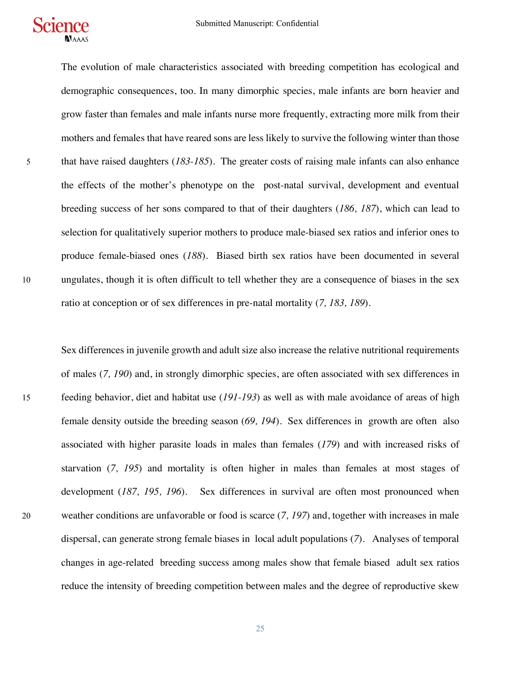The evolution of male characteristics associated with breeding competition has ecological and demographic consequences, too. In many dimorphic species, male infants are born heavier and grow faster than females and male infants nurse more frequently, extracting more milk from their mothers and females that have reared sons are less likely to survive the following winter than those 5 that have raised daughters (*183-185*). The greater costs of raising male infants can also enhance the effects of the mother's phenotype on the post-natal survival, development and eventual breeding success of her sons compared to that of their daughters (*186, 187*), which can lead to selection for qualitatively superior mothers to produce male-biased sex ratios and inferior ones to produce female-biased ones (*188*). Biased birth sex ratios have been documented in several 10 ungulates, though it is often difficult to tell whether they are a consequence of biases in the sex ratio at conception or of sex differences in pre-natal mortality (*7, 183, 189*).

Sex differences in juvenile growth and adult size also increase the relative nutritional requirements of males (*7, 190*) and, in strongly dimorphic species, are often associated with sex differences in 15 feeding behavior, diet and habitat use (*191-193*) as well as with male avoidance of areas of high female density outside the breeding season (*69, 194*). Sex differences in growth are often also associated with higher parasite loads in males than females (*179*) and with increased risks of starvation (*7, 195*) and mortality is often higher in males than females at most stages of development (*187, 195, 196*). Sex differences in survival are often most pronounced when 20 weather conditions are unfavorable or food is scarce (*7, 197*) and, together with increases in male dispersal, can generate strong female biases in local adult populations (*7*). Analyses of temporal changes in age-related breeding success among males show that female biased adult sex ratios reduce the intensity of breeding competition between males and the degree of reproductive skew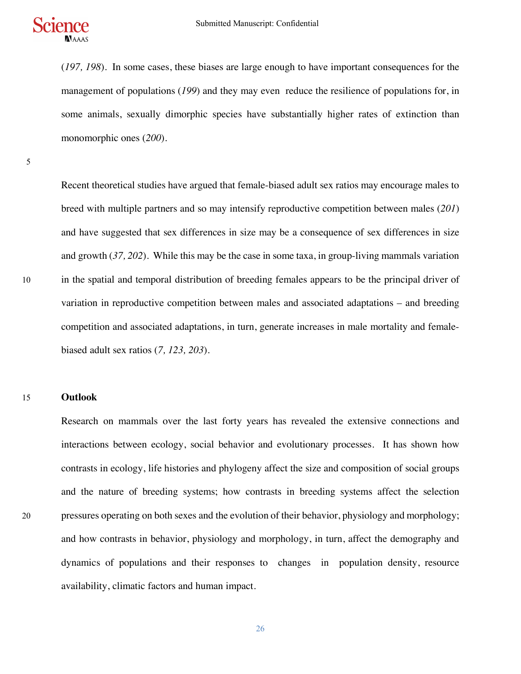

(*197, 198*). In some cases, these biases are large enough to have important consequences for the management of populations (*199*) and they may even reduce the resilience of populations for, in some animals, sexually dimorphic species have substantially higher rates of extinction than monomorphic ones (*200*).

5

Recent theoretical studies have argued that female-biased adult sex ratios may encourage males to breed with multiple partners and so may intensify reproductive competition between males (*201*) and have suggested that sex differences in size may be a consequence of sex differences in size and growth (*37, 202*). While this may be the case in some taxa, in group-living mammals variation 10 in the spatial and temporal distribution of breeding females appears to be the principal driver of variation in reproductive competition between males and associated adaptations – and breeding competition and associated adaptations, in turn, generate increases in male mortality and femalebiased adult sex ratios (*7, 123, 203*).

#### 15 **Outlook**

Research on mammals over the last forty years has revealed the extensive connections and interactions between ecology, social behavior and evolutionary processes. It has shown how contrasts in ecology, life histories and phylogeny affect the size and composition of social groups and the nature of breeding systems; how contrasts in breeding systems affect the selection 20 pressures operating on both sexes and the evolution of their behavior, physiology and morphology; and how contrasts in behavior, physiology and morphology, in turn, affect the demography and dynamics of populations and their responses to changes in population density, resource availability, climatic factors and human impact.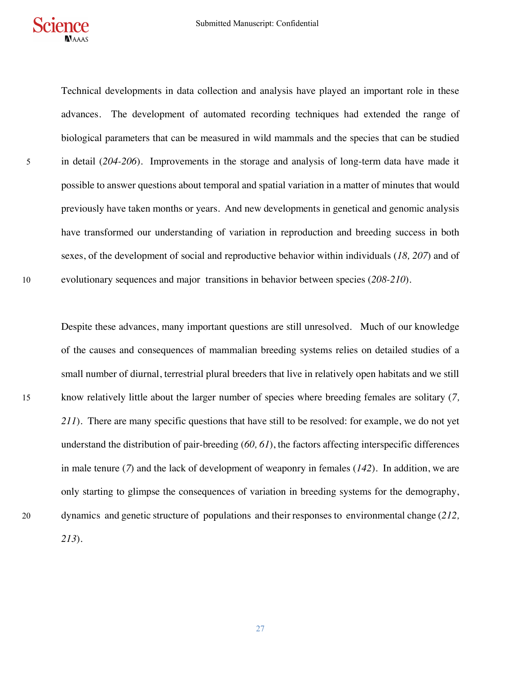

Technical developments in data collection and analysis have played an important role in these advances. The development of automated recording techniques had extended the range of biological parameters that can be measured in wild mammals and the species that can be studied 5 in detail (*204-206*). Improvements in the storage and analysis of long-term data have made it possible to answer questions about temporal and spatial variation in a matter of minutes that would previously have taken months or years. And new developments in genetical and genomic analysis have transformed our understanding of variation in reproduction and breeding success in both sexes, of the development of social and reproductive behavior within individuals (*18, 207*) and of 10 evolutionary sequences and major transitions in behavior between species (*208-210*).

Despite these advances, many important questions are still unresolved. Much of our knowledge of the causes and consequences of mammalian breeding systems relies on detailed studies of a small number of diurnal, terrestrial plural breeders that live in relatively open habitats and we still 15 know relatively little about the larger number of species where breeding females are solitary (*7, 211*). There are many specific questions that have still to be resolved: for example, we do not yet understand the distribution of pair-breeding (*60, 61*), the factors affecting interspecific differences in male tenure (*7*) and the lack of development of weaponry in females (*142*). In addition, we are only starting to glimpse the consequences of variation in breeding systems for the demography, 20 dynamics and genetic structure of populations and their responses to environmental change (*212, 213*).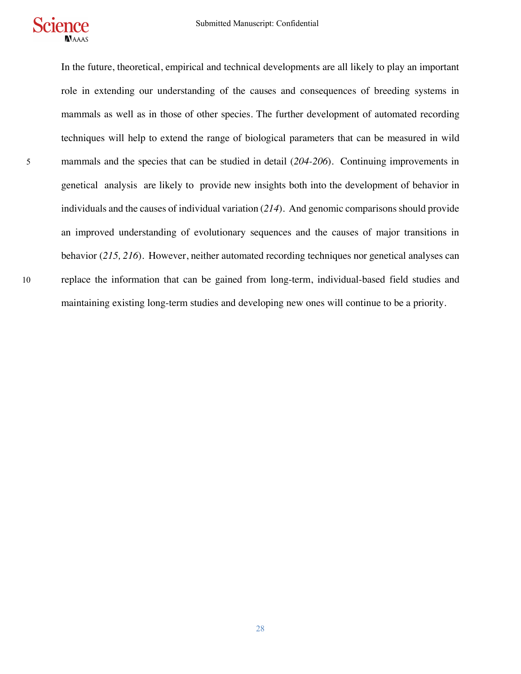

In the future, theoretical, empirical and technical developments are all likely to play an important role in extending our understanding of the causes and consequences of breeding systems in mammals as well as in those of other species. The further development of automated recording techniques will help to extend the range of biological parameters that can be measured in wild 5 mammals and the species that can be studied in detail (*204-206*). Continuing improvements in genetical analysis are likely to provide new insights both into the development of behavior in individuals and the causes of individual variation (*214*). And genomic comparisons should provide an improved understanding of evolutionary sequences and the causes of major transitions in behavior (*215, 216*). However, neither automated recording techniques nor genetical analyses can 10 replace the information that can be gained from long-term, individual-based field studies and maintaining existing long-term studies and developing new ones will continue to be a priority.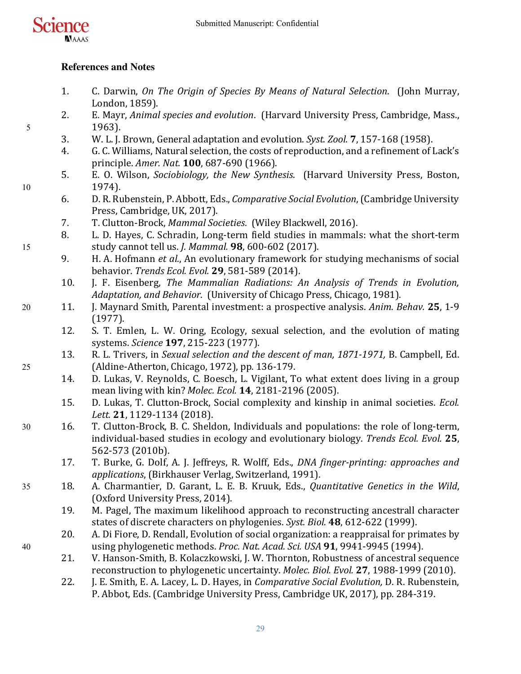

# **References and Notes**

- 1. C. Darwin, *On The Origin of Species By Means of Natural Selection.* (John Murray, London, 1859).
- 2. E. Mayr, *Animal species and evolution.* (Harvard University Press, Cambridge, Mass., 5 1963).
	- 3. W. L. J. Brown, General adaptation and evolution. *Syst. Zool.* **7**, 157-168 (1958).
	- 4. G. C. Williams, Natural selection, the costs of reproduction, and a refinement of Lack's principle. *Amer. Nat.* **100**, 687-690 (1966).
- 5. E. O. Wilson, *Sociobiology, the New Synthesis.* (Harvard University Press, Boston, 10 1974).
	- 6. D. R. Rubenstein, P. Abbott, Eds., *Comparative Social Evolution*, (Cambridge University Press, Cambridge, UK, 2017).
	- 7. T. Clutton-Brock, *Mammal Societies*. (Wiley Blackwell, 2016).
- 8. L. D. Hayes, C. Schradin, Long-term field studies in mammals: what the short-term 15 study cannot tell us. *J. Mammal.* **98**, 600-602 (2017).
	- 9. H. A. Hofmann *et al.*, An evolutionary framework for studying mechanisms of social behavior. *Trends Ecol. Evol.* **29**, 581-589 (2014).
	- 10. **J. F. Eisenberg,** *The Mammalian Radiations: An Analysis of Trends in Evolution***,** Adaptation, and Behavior. (University of Chicago Press, Chicago, 1981).
- 20 11. J. Maynard Smith, Parental investment: a prospective analysis. Anim. Behav. 25, 1-9 (1977).
	- 12. S. T. Emlen, L. W. Oring, Ecology, sexual selection, and the evolution of mating systems. *Science* **197**, 215-223 (1977).
- 13. R. L. Trivers, in *Sexual selection and the descent of man, 1871-1971*, B. Campbell, Ed. 25 (Aldine-Atherton, Chicago, 1972), pp. 136-179.
	- 14. D. Lukas, V. Reynolds, C. Boesch, L. Vigilant, To what extent does living in a group mean living with kin? *Molec. Ecol.* **14**, 2181-2196 (2005).
	- 15. D. Lukas, T. Clutton-Brock, Social complexity and kinship in animal societies. *Ecol. Lett.* **21**, 1129-1134 (2018).
- 30 16. T. Clutton-Brock, B. C. Sheldon, Individuals and populations: the role of long-term, individual-based studies in ecology and evolutionary biology. *Trends Ecol. Evol.* **25**, 562-573 (2010b).
	- 17. T. Burke, G. Dolf, A. J. Jeffreys, R. Wolff, Eds., *DNA finger-printing: approaches and* applications, (Birkhauser Verlag, Switzerland, 1991).
- 35 18. A. Charmantier, D. Garant, L. E. B. Kruuk, Eds., *Quantitative Genetics in the Wild*, (Oxford University Press, 2014).
	- 19. M. Pagel, The maximum likelihood approach to reconstructing ancestrall character states of discrete characters on phylogenies. *Syst. Biol.* 48, 612-622 (1999).
- 20. A. Di Fiore, D. Rendall, Evolution of social organization: a reappraisal for primates by 40 using phylogenetic methods. *Proc. Nat. Acad. Sci. USA* **91**, 9941-9945 (1994).
	- 21. V. Hanson-Smith, B. Kolaczkowski, J. W. Thornton, Robustness of ancestral sequence reconstruction to phylogenetic uncertainty. *Molec. Biol. Evol.* **27**, 1988-1999 (2010).
	- 22. J. E. Smith, E. A. Lacey, L. D. Hayes, in *Comparative Social Evolution*, D. R. Rubenstein, P. Abbot, Eds. (Cambridge University Press, Cambridge UK, 2017), pp. 284-319.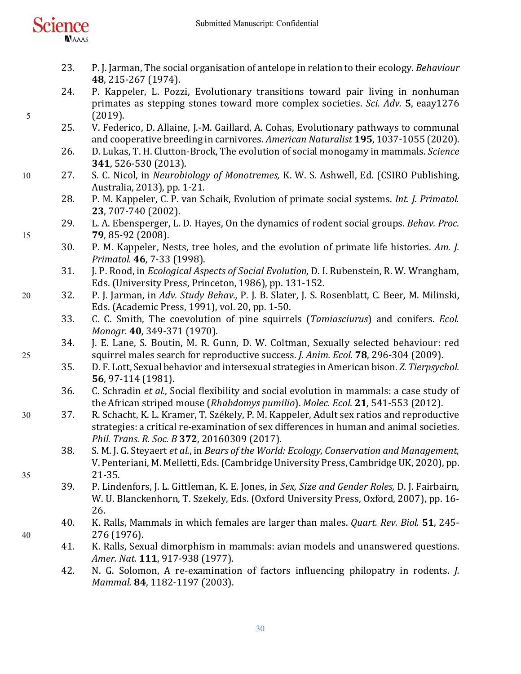

- 23. P. J. Jarman, The social organisation of antelope in relation to their ecology. *Behaviour* **48**, 215-267 (1974).
- 24. P. Kappeler, L. Pozzi, Evolutionary transitions toward pair living in nonhuman primates as stepping stones toward more complex societies. *Sci. Adv.* 5, eaay1276 5 (2019).
	- 25. V. Federico, D. Allaine, J.-M. Gaillard, A. Cohas, Evolutionary pathways to communal and cooperative breeding in carnivores. *American Naturalist* **195**, 1037-1055 (2020).
	- 26. D. Lukas, T. H. Clutton-Brock, The evolution of social monogamy in mammals. *Science* **341**, 526-530 (2013).
- 10 27. S. C. Nicol, in *Neurobiology of Monotremes, K. W. S. Ashwell, Ed.* (CSIRO Publishing, Australia, 2013), pp. 1-21.
	- 28. P. M. Kappeler, C. P. van Schaik, Evolution of primate social systems. *Int. J. Primatol.* **23**, 707-740 (2002).
- 29. L. A. Ebensperger, L. D. Hayes, On the dynamics of rodent social groups. *Behav. Proc.* 15 **79**, 85-92 (2008).
	- 30. P. M. Kappeler, Nests, tree holes, and the evolution of primate life histories. Am. J. *Primatol.* **46**, 7-33 (1998).
	- 31. J. P. Rood, in *Ecological Aspects of Social Evolution*, D. I. Rubenstein, R. W. Wrangham, Eds. (University Press, Princeton, 1986), pp. 131-152.
- 20 32. P. J. Jarman, in Adv. Study Behav., P. J. B. Slater, J. S. Rosenblatt, C. Beer, M. Milinski, Eds. (Academic Press, 1991), vol. 20, pp. 1-50.
	- 33. C. C. Smith, The coevolution of pine squirrels (*Tamiasciurus*) and conifers. *Ecol. Monogr.* 40, 349-371 (1970).
- 34. J. E. Lane, S. Boutin, M. R. Gunn, D. W. Coltman, Sexually selected behaviour: red 25 squirrel males search for reproductive success. *J. Anim. Ecol.* **78**, 296-304 (2009).
	- 35. D. F. Lott, Sexual behavior and intersexual strategies in American bison. *Z. Tierpsychol.* **56**, 97-114 (1981).
	- 36. C. Schradin *et al.*, Social flexibility and social evolution in mammals: a case study of the African striped mouse (*Rhabdomys pumilio*). *Molec. Ecol.* **21**, 541-553 (2012).
- 30 37. R. Schacht, K. L. Kramer, T. Székely, P. M. Kappeler, Adult sex ratios and reproductive strategies: a critical re-examination of sex differences in human and animal societies. *Phil. Trans. R. Soc. B* **372**, 20160309 (2017).
- 38. S. M. J. G. Steyaert *et al.*, in *Bears of the World: Ecology, Conservation and Management,* V. Penteriani, M. Melletti, Eds. (Cambridge University Press, Cambridge UK, 2020), pp. 35 21-35.
	- 39. P. Lindenfors, J. L. Gittleman, K. E. Jones, in *Sex, Size and Gender Roles, D. J. Fairbairn*, W. U. Blanckenhorn, T. Szekely, Eds. (Oxford University Press, Oxford, 2007), pp. 16-26.
- 40. K. Ralls, Mammals in which females are larger than males. *Quart. Rev. Biol.* 51, 245-40 276 (1976).
	- 41. K. Ralls, Sexual dimorphism in mammals: avian models and unanswered questions. *Amer. Nat.* **111**, 917-938 (1977).
	- 42. N. G. Solomon, A re-examination of factors influencing philopatry in rodents. *J. Mammal.* **84**, 1182-1197 (2003).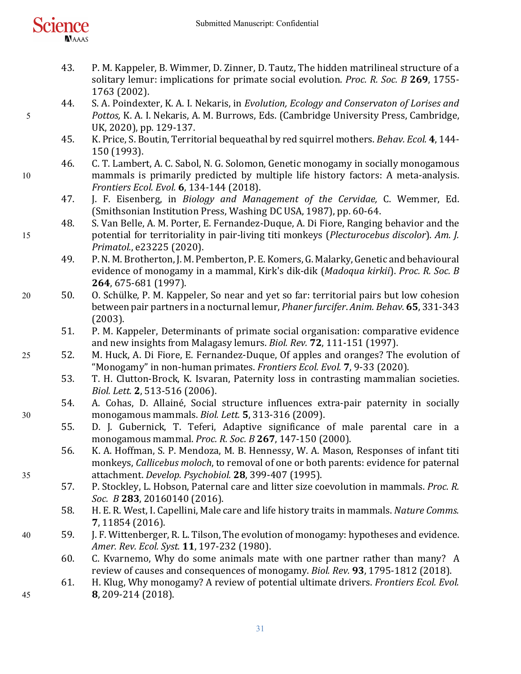

- 43. P. M. Kappeler, B. Wimmer, D. Zinner, D. Tautz, The hidden matrilineal structure of a solitary lemur: implications for primate social evolution. *Proc. R. Soc. B* 269, 1755-1763 (2002).
- 44. S. A. Poindexter, K. A. I. Nekaris, in *Evolution, Ecology and Conservaton of Lorises and* 5 *Pottos,* K. A. I. Nekaris, A. M. Burrows, Eds. (Cambridge University Press, Cambridge, UK, 2020), pp. 129-137.
	- 45. K. Price, S. Boutin, Territorial bequeathal by red squirrel mothers. *Behav. Ecol.* 4, 144-150 (1993).
- 46. C. T. Lambert, A. C. Sabol, N. G. Solomon, Genetic monogamy in socially monogamous 10 mammals is primarily predicted by multiple life history factors: A meta-analysis. *Frontiers Ecol. Evol.* **6**, 134-144 (2018).
	- 47. J. F. Eisenberg, in *Biology and Management of the Cervidae*, C. Wemmer, Ed. (Smithsonian Institution Press, Washing DC USA, 1987), pp. 60-64.
- 48. S. Van Belle, A. M. Porter, E. Fernandez-Duque, A. Di Fiore, Ranging behavior and the 15 potential for territoriality in pair-living titi monkeys (*Plecturocebus discolor*). Am. *J. Primatol.*, e23225 (2020).
	- 49. P. N. M. Brotherton, J. M. Pemberton, P. E. Komers, G. Malarky, Genetic and behavioural evidence of monogamy in a mammal, Kirk's dik-dik (Madoqua kirkii). Proc. R. Soc. B **264**, 675-681 (1997).
- 20 50. O. Schülke, P. M. Kappeler, So near and yet so far: territorial pairs but low cohesion between pair partners in a nocturnal lemur, *Phaner furcifer*. Anim. Behav. **65**, 331-343 (2003).
	- 51. P. M. Kappeler, Determinants of primate social organisation: comparative evidence and new insights from Malagasy lemurs. *Biol. Rev.* **72**, 111-151 (1997).
- 25 52. M. Huck, A. Di Fiore, E. Fernandez-Duque, Of apples and oranges? The evolution of "Monogamy" in non-human primates. *Frontiers Ecol. Evol.* **7**, 9-33 (2020).
	- 53. T. H. Clutton-Brock, K. Isvaran, Paternity loss in contrasting mammalian societies. *Biol. Lett.* **2**, 513-516 (2006).
- 54. A. Cohas, D. Allainé, Social structure influences extra-pair paternity in socially 30 monogamous mammals. *Biol. Lett.* **5**, 313-316 (2009).
	- 55. D. J. Gubernick, T. Teferi, Adaptive significance of male parental care in a monogamous mammal. *Proc. R. Soc. B* **267**, 147-150 (2000).
- 56. K. A. Hoffman, S. P. Mendoza, M. B. Hennessy, W. A. Mason, Responses of infant titi monkeys, *Callicebus moloch*, to removal of one or both parents: evidence for paternal 35 attachment. *Develop. Psychobiol.* **28**, 399-407 (1995).
	- 57. P. Stockley, L. Hobson, Paternal care and litter size coevolution in mammals. *Proc. R. Soc. B* **283**, 20160140 (2016).
	- 58. H. E. R. West, I. Capellini, Male care and life history traits in mammals. *Nature Comms.* **7**, 11854 (2016).
- 40 59. J. F. Wittenberger, R. L. Tilson, The evolution of monogamy: hypotheses and evidence. *Amer. Rev. Ecol. Syst.* **11**, 197-232 (1980).
	- 60. C. Kvarnemo, Why do some animals mate with one partner rather than many? A review of causes and consequences of monogamy. *Biol. Rev.* 93, 1795-1812 (2018).
- 61. H. Klug, Why monogamy? A review of potential ultimate drivers. *Frontiers Ecol. Evol.* 45 **8**, 209-214 (2018).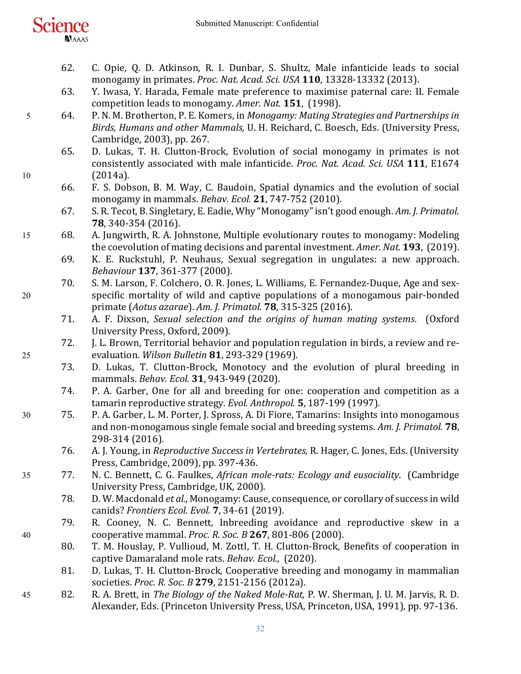| cience |              |  |
|--------|--------------|--|
|        |              |  |
|        | <b>NAAAS</b> |  |

- 62. C. Opie, Q. D. Atkinson, R. I. Dunbar, S. Shultz, Male infanticide leads to social monogamy in primates. *Proc. Nat. Acad. Sci. USA* **110**, 13328-13332 (2013).
- 63. Y. Iwasa, Y. Harada, Female mate preference to maximise paternal care: II. Female competition leads to monogamy. *Amer. Nat.* **151**, (1998).
- 5 64. P. N. M. Brotherton, P. E. Komers, in *Monogamy: Mating Strategies and Partnerships in Birds, Humans and other Mammals, U. H. Reichard, C. Boesch, Eds. (University Press,* Cambridge, 2003), pp. 267.
- 65. D. Lukas, T. H. Clutton-Brock, Evolution of social monogamy in primates is not consistently associated with male infanticide. *Proc. Nat. Acad. Sci. USA* 111, E1674 10 (2014a).
	- 66. F. S. Dobson, B. M. Way, C. Baudoin, Spatial dynamics and the evolution of social monogamy in mammals. *Behav. Ecol.* **21**, 747-752 (2010).
	- 67. S. R. Tecot, B. Singletary, E. Eadie, Why "Monogamy" isn't good enough. Am. J. Primatol. **78**, 340-354 (2016).
- 15 68. A. Jungwirth, R. A. Johnstone, Multiple evolutionary routes to monogamy: Modeling the coevolution of mating decisions and parental investment. Amer. Nat. 193, (2019).
	- 69. K. E. Ruckstuhl, P. Neuhaus, Sexual segregation in ungulates: a new approach. *Behaviour* **137**, 361-377 (2000).
- 70. S. M. Larson, F. Colchero, O. R. Jones, L. Williams, E. Fernandez-Duque, Age and sex-20 specific mortality of wild and captive populations of a monogamous pair-bonded primate (*Aotus azarae*). *Am. J. Primatol.* **78**, 315-325 (2016).
	- 71. A. F. Dixson, *Sexual selection and the origins of human mating systems.* (Oxford University Press, Oxford, 2009).
- 72. J. L. Brown, Territorial behavior and population regulation in birds, a review and re-25 evaluation. *Wilson Bulletin* **81**, 293-329 (1969).
	- 73. D. Lukas, T. Clutton-Brock, Monotocy and the evolution of plural breeding in mammals. *Behav. Ecol.* **31**, 943-949 (2020).
	- 74. P. A. Garber, One for all and breeding for one: cooperation and competition as a tamarin reproductive strategy. *Evol. Anthropol.* **5**, 187-199 (1997).
- 30 75. P. A. Garber, L. M. Porter, J. Spross, A. Di Fiore, Tamarins: Insights into monogamous and non-monogamous single female social and breeding systems. Am. J. Primatol. **78**, 298-314 (2016).
	- 76. A. J. Young, in *Reproductive Success in Vertebrates, R. Hager, C. Jones, Eds. (University* Press, Cambridge, 2009), pp. 397-436.
- 35 77. N. C. Bennett, C. G. Faulkes, *African mole-rats: Ecology and eusociality*. (Cambridge University Press, Cambridge, UK, 2000).
	- 78. D. W. Macdonald *et al.*, Monogamy: Cause, consequence, or corollary of success in wild canids? *Frontiers Ecol. Evol.* **7**, 34-61 (2019).
- 79. R. Cooney, N. C. Bennett, Inbreeding avoidance and reproductive skew in a 40 cooperative mammal. *Proc. R. Soc. B* **267**, 801-806 (2000).
	- 80. T. M. Houslay, P. Vullioud, M. Zottl, T. H. Clutton-Brock, Benefits of cooperation in captive Damaraland mole rats. *Behav. Ecol.*, (2020).
	- 81. D. Lukas, T. H. Clutton-Brock, Cooperative breeding and monogamy in mammalian societies. *Proc. R. Soc. B* **279**, 2151-2156 (2012a).
- 45 82. R. A. Brett, in *The Biology of the Naked Mole-Rat*, P. W. Sherman, J. U. M. Jarvis, R. D. Alexander, Eds. (Princeton University Press, USA, Princeton, USA, 1991), pp. 97-136.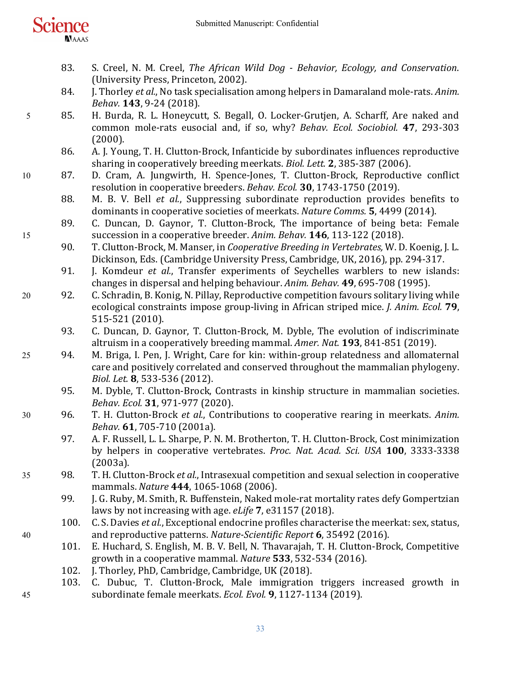

- 83. S. Creel, N. M. Creel, *The African Wild Dog Behavior, Ecology, and Conservation.* (University Press, Princeton, 2002).
- 84. **J.** Thorley *et al.*, No task specialisation among helpers in Damaraland mole-rats. Anim. *Behav.* **143**, 9-24 (2018).
- 5 85. H. Burda, R. L. Honeycutt, S. Begall, O. Locker-Grutjen, A. Scharff, Are naked and common mole-rats eusocial and, if so, why? *Behav. Ecol. Sociobiol.* **47**, 293-303 (2000).
	- 86. A. J. Young, T. H. Clutton-Brock, Infanticide by subordinates influences reproductive sharing in cooperatively breeding meerkats. *Biol. Lett.* 2, 385-387 (2006).
- 10 87. D. Cram, A. Jungwirth, H. Spence-Jones, T. Clutton-Brock, Reproductive conflict resolution in cooperative breeders. *Behav. Ecol.* **30**, 1743-1750 (2019).
	- 88. M. B. V. Bell *et al.*, Suppressing subordinate reproduction provides benefits to dominants in cooperative societies of meerkats. *Nature Comms.* **5**, 4499 (2014).
- 89. C. Duncan, D. Gaynor, T. Clutton-Brock, The importance of being beta: Female 15 succession in a cooperative breeder. *Anim. Behav.* **146**, 113-122 (2018).
	- 90. T. Clutton-Brock, M. Manser, in *Cooperative Breeding in Vertebrates*, W. D. Koenig, J. L. Dickinson, Eds. (Cambridge University Press, Cambridge, UK, 2016), pp. 294-317.
	- 91. J. Komdeur *et al.*, Transfer experiments of Seychelles warblers to new islands: changes in dispersal and helping behaviour. Anim. Behav. **49**, 695-708 (1995).
- 20 92. C. Schradin, B. Konig, N. Pillay, Reproductive competition favours solitary living while ecological constraints impose group-living in African striped mice. *J. Anim. Ecol.* **79**, 515-521 (2010).
	- 93. C. Duncan, D. Gaynor, T. Clutton-Brock, M. Dyble, The evolution of indiscriminate altruism in a cooperatively breeding mammal. *Amer. Nat.* **193**, 841-851 (2019).
- 25 94. M. Briga, I. Pen, J. Wright, Care for kin: within-group relatedness and allomaternal care and positively correlated and conserved throughout the mammalian phylogeny. *Biol. Let.* **8**, 533-536 (2012).
	- 95. M. Dyble, T. Clutton-Brock, Contrasts in kinship structure in mammalian societies. *Behav. Ecol.* **31**, 971-977 (2020).
- 30 96. T. H. Clutton-Brock *et al.*, Contributions to cooperative rearing in meerkats. Anim. *Behav.* **61**, 705-710 (2001a).
	- 97. A. F. Russell, L. L. Sharpe, P. N. M. Brotherton, T. H. Clutton-Brock, Cost minimization by helpers in cooperative vertebrates. *Proc. Nat. Acad. Sci. USA* **100**, 3333-3338 (2003a).
- 35 98. T. H. Clutton-Brock *et al.*, Intrasexual competition and sexual selection in cooperative mammals. *Nature* **444**, 1065-1068 (2006).
	- 99. J. G. Ruby, M. Smith, R. Buffenstein, Naked mole-rat mortality rates defy Gompertzian laws by not increasing with age. *eLife* 7, e31157 (2018).
- 100. C. S. Davies *et al.*, Exceptional endocrine profiles characterise the meerkat: sex, status, 40 and reproductive patterns. *Nature-Scientific Report* **6**, 35492 (2016).
	- 101. E. Huchard, S. English, M. B. V. Bell, N. Thavarajah, T. H. Clutton-Brock, Competitive growth in a cooperative mammal. *Nature* **533**, 532-534 (2016).
	- 102. J. Thorley, PhD, Cambridge, Cambridge, UK (2018).
- 103. C. Dubuc, T. Clutton-Brock, Male immigration triggers increased growth in 45 subordinate female meerkats. *Ecol. Evol.* 9, 1127-1134 (2019).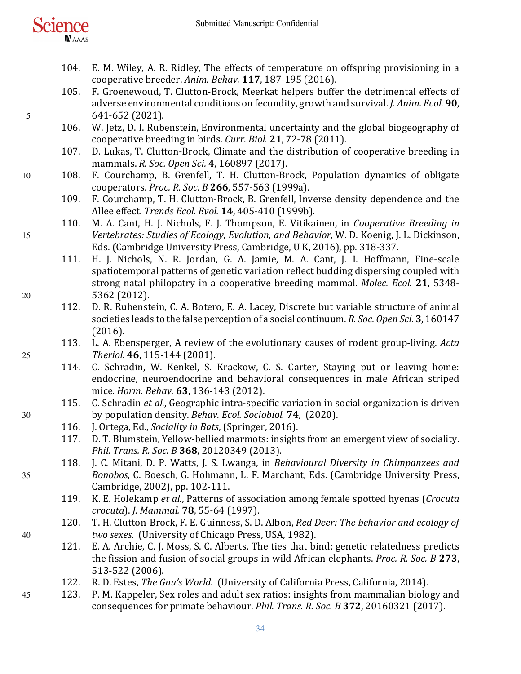

- 104. E. M. Wiley, A. R. Ridley, The effects of temperature on offspring provisioning in a cooperative breeder. Anim. Behav. 117, 187-195 (2016).
- 105. F. Groenewoud, T. Clutton-Brock, Meerkat helpers buffer the detrimental effects of adverse environmental conditions on fecundity, growth and survival. *J. Anim. Ecol.* **90**, 5 641-652 (2021).
	- 106. W. Jetz, D. I. Rubenstein, Environmental uncertainty and the global biogeography of cooperative breeding in birds. *Curr. Biol.* **21**, 72-78 (2011).
	- 107. D. Lukas, T. Clutton-Brock, Climate and the distribution of cooperative breeding in mammals. *R. Soc. Open Sci.* **4**, 160897 (2017).
- 10 108. F. Courchamp, B. Grenfell, T. H. Clutton-Brock, Population dynamics of obligate cooperators. *Proc. R. Soc. B* **266**, 557-563 (1999a).
	- 109. F. Courchamp, T. H. Clutton-Brock, B. Grenfell, Inverse density dependence and the Allee effect. *Trends Ecol. Evol.* **14**, 405-410 (1999b).
- 110. M. A. Cant, H. J. Nichols, F. J. Thompson, E. Vitikainen, in *Cooperative Breeding in* 15 *Vertebrates: Studies of Ecology, Evolution, and Behavior, W. D. Koenig, J. L. Dickinson,* Eds. (Cambridge University Press, Cambridge, U K, 2016), pp. 318-337.
- 111. H. J. Nichols, N. R. Jordan, G. A. Jamie, M. A. Cant, J. I. Hoffmann, Fine-scale spatiotemporal patterns of genetic variation reflect budding dispersing coupled with strong natal philopatry in a cooperative breeding mammal. *Molec. Ecol.* 21, 5348-20 5362 (2012).
	- 112. D. R. Rubenstein, C. A. Botero, E. A. Lacey, Discrete but variable structure of animal societies leads to the false perception of a social continuum. *R. Soc. Open Sci.* **3**, 160147 (2016).
- 113. L. A. Ebensperger, A review of the evolutionary causes of rodent group-living. Acta 25 *Theriol.* **46**, 115-144 (2001).
	- 114. C. Schradin, W. Kenkel, S. Krackow, C. S. Carter, Staying put or leaving home: endocrine, neuroendocrine and behavioral consequences in male African striped mice. *Horm. Behav.* **63**, 136-143 (2012).
- 115. C. Schradin *et al.*, Geographic intra-specific variation in social organization is driven 30 by population density. *Behav. Ecol. Sociobiol.* **74**, (2020).
	- 116. J. Ortega, Ed., *Sociality in Bats*, (Springer, 2016).
	- 117. D. T. Blumstein, Yellow-bellied marmots: insights from an emergent view of sociality. *Phil. Trans. R. Soc. B* **368**, 20120349 (2013).
- 118. J. C. Mitani, D. P. Watts, J. S. Lwanga, in *Behavioural Diversity in Chimpanzees and* 35 *Bonobos,* C. Boesch, G. Hohmann, L. F. Marchant, Eds. (Cambridge University Press, Cambridge, 2002), pp. 102-111.
	- 119. K. E. Holekamp *et al.*, Patterns of association among female spotted hyenas (*Crocuta crocuta*). *J. Mammal.* **78**, 55-64 (1997).
- 120. T. H. Clutton-Brock, F. E. Guinness, S. D. Albon, *Red Deer: The behavior and ecology of* 40 *two sexes.* (University of Chicago Press, USA, 1982).
	- 121. E. A. Archie, C. J. Moss, S. C. Alberts, The ties that bind: genetic relatedness predicts the fission and fusion of social groups in wild African elephants. *Proc. R. Soc. B* 273, 513-522 (2006).
	- 122. R. D. Estes, *The Gnu's World.* (University of California Press, California, 2014).
- 45 123. P. M. Kappeler, Sex roles and adult sex ratios: insights from mammalian biology and consequences for primate behaviour. *Phil. Trans. R. Soc. B* 372, 20160321 (2017).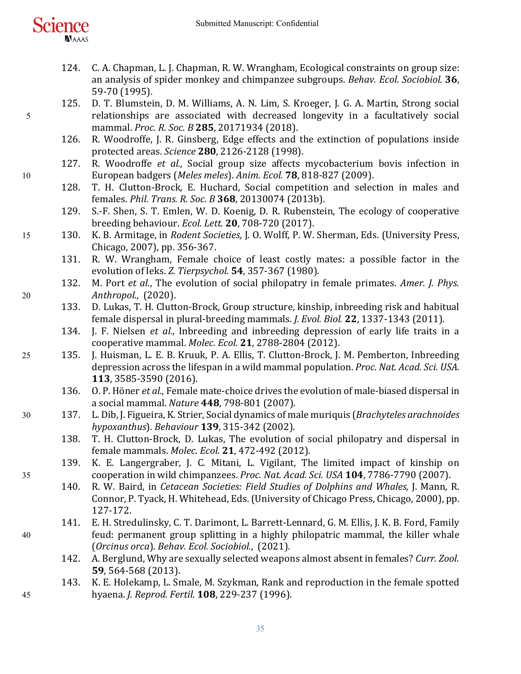

- 124. C. A. Chapman, L. J. Chapman, R. W. Wrangham, Ecological constraints on group size: an analysis of spider monkey and chimpanzee subgroups. *Behav. Ecol. Sociobiol.* **36**, 59-70 (1995).
- 125. D. T. Blumstein, D. M. Williams, A. N. Lim, S. Kroeger, J. G. A. Martin, Strong social 5 relationships are associated with decreased longevity in a facultatively social mammal. *Proc. R. Soc. B* **285**, 20171934 (2018).
	- 126. R. Woodroffe, J. R. Ginsberg, Edge effects and the extinction of populations inside protected areas. *Science* **280**, 2126-2128 (1998).
- 127. R. Woodroffe *et al.*, Social group size affects mycobacterium bovis infection in 10 European badgers (*Meles meles*). *Anim. Ecol.* **78**, 818-827 (2009).
	- 128. T. H. Clutton-Brock, E. Huchard, Social competition and selection in males and females. *Phil. Trans. R. Soc. B* **368**, 20130074 (2013b).
	- 129. S.-F. Shen, S. T. Emlen, W. D. Koenig, D. R. Rubenstein, The ecology of cooperative breeding behaviour. *Ecol. Lett.* **20**, 708-720 (2017).
- 15 130. K. B. Armitage, in *Rodent Societies*, J. O. Wolff, P. W. Sherman, Eds. (University Press, Chicago, 2007), pp. 356-367.
	- 131. R. W. Wrangham, Female choice of least costly mates: a possible factor in the evolution of leks. *Z. Tierpsychol.* **54**, 357-367 (1980).
- 132. M. Port *et al.*, The evolution of social philopatry in female primates. *Amer. J. Phys.* 20 *Anthropol.*, (2020).
	- 133. D. Lukas, T. H. Clutton-Brock, Group structure, kinship, inbreeding risk and habitual female dispersal in plural-breeding mammals. *J. Evol. Biol.* **22**, 1337-1343 (2011).
	- 134. J. F. Nielsen *et al.*, Inbreeding and inbreeding depression of early life traits in a cooperative mammal. *Molec. Ecol.* **21**, 2788-2804 (2012).
- 25 135. J. Huisman, L. E. B. Kruuk, P. A. Ellis, T. Clutton-Brock, J. M. Pemberton, Inbreeding depression across the lifespan in a wild mammal population. *Proc. Nat. Acad. Sci. USA.* **113**, 3585-3590 (2016).
	- 136. O. P. Höner *et al.*, Female mate-choice drives the evolution of male-biased dispersal in a social mammal. *Nature* **448**, 798-801 (2007).
- 30 137. L. Dib, J. Figueira, K. Strier, Social dynamics of male muriquis (*Brachyteles arachnoides hypoxanthus*). *Behaviour* **139**, 315-342 (2002).
	- 138. T. H. Clutton-Brock, D. Lukas, The evolution of social philopatry and dispersal in female mammals. *Molec. Ecol.* **21**, 472-492 (2012).
- 139. K. E. Langergraber, J. C. Mitani, L. Vigilant, The limited impact of kinship on 35 cooperation in wild chimpanzees. *Proc. Nat. Acad. Sci. USA* **104**, 7786-7790 (2007).
	- 140. R. W. Baird, in *Cetacean Societies: Field Studies of Dolphins and Whales*, J. Mann, R. Connor, P. Tyack, H. Whitehead, Eds. (University of Chicago Press, Chicago, 2000), pp. 127-172.
- 141. E. H. Stredulinsky, C. T. Darimont, L. Barrett-Lennard, G. M. Ellis, J. K. B. Ford, Family 40 feud: permanent group splitting in a highly philopatric mammal, the killer whale (*Orcinus orca*). Behav. Ecol. Sociobiol., (2021).
	- 142. A. Berglund, Why are sexually selected weapons almost absent in females? *Curr. Zool.* **59**, 564-568 (2013).
- 143. K. E. Holekamp, L. Smale, M. Szykman, Rank and reproduction in the female spotted 45 hyaena. *J. Reprod. Fertil.* **108**, 229-237 (1996).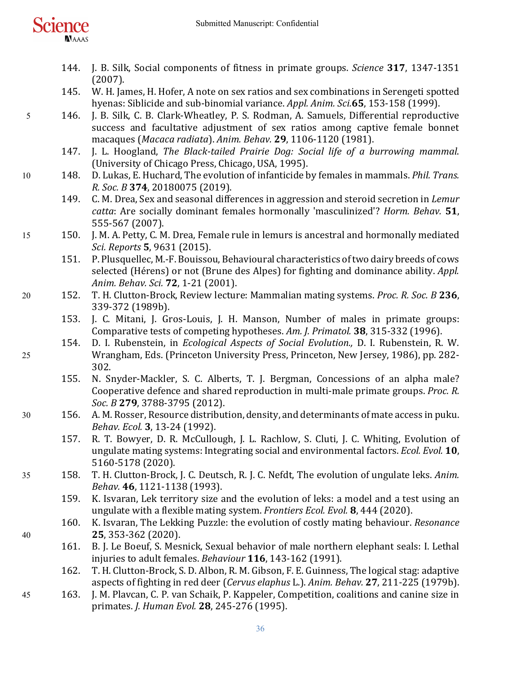- **NAAAS** 
	- 144. J. B. Silk, Social components of fitness in primate groups. *Science* 317, 1347-1351 (2007).
	- 145. W. H. James, H. Hofer, A note on sex ratios and sex combinations in Serengeti spotted hyenas: Siblicide and sub-binomial variance. *Appl. Anim. Sci.***65**, 153-158 (1999).
- 5 146. J. B. Silk, C. B. Clark-Wheatley, P. S. Rodman, A. Samuels, Differential reproductive success and facultative adjustment of sex ratios among captive female bonnet macaques (*Macaca radiata*). *Anim. Behav.* **29**, 1106-1120 (1981).
	- 147. J. L. Hoogland, *The Black-tailed Prairie Dog: Social life of a burrowing mammal.* (University of Chicago Press, Chicago, USA, 1995).
- 10 148. D. Lukas, E. Huchard, The evolution of infanticide by females in mammals. *Phil. Trans. R. Soc. B* **374**, 20180075 (2019).
	- 149. C. M. Drea, Sex and seasonal differences in aggression and steroid secretion in *Lemur catta*: Are socially dominant females hormonally 'masculinized'? *Horm. Behav.* 51, 555-567 (2007).
- 15 150. J. M. A. Petty, C. M. Drea, Female rule in lemurs is ancestral and hormonally mediated *Sci. Reports* **5**, 9631 (2015).
	- 151. P. Plusquellec, M.-F. Bouissou, Behavioural characteristics of two dairy breeds of cows selected (Hérens) or not (Brune des Alpes) for fighting and dominance ability. *Appl. Anim. Behav. Sci.* **72**, 1-21 (2001).
- 20 152. T. H. Clutton-Brock, Review lecture: Mammalian mating systems. *Proc. R. Soc. B* 236, 339-372 (1989b).
	- 153. J. C. Mitani, J. Gros-Louis, J. H. Manson, Number of males in primate groups: Comparative tests of competing hypotheses. Am. J. Primatol. **38**, 315-332 (1996).
- 154. D. I. Rubenstein, in *Ecological Aspects of Social Evolution.*, D. I. Rubenstein, R. W. 25 Wrangham, Eds. (Princeton University Press, Princeton, New Jersey, 1986), pp. 282-302.
	- 155. N. Snyder-Mackler, S. C. Alberts, T. J. Bergman, Concessions of an alpha male? Cooperative defence and shared reproduction in multi-male primate groups. *Proc. R. Soc. B* **279**, 3788-3795 (2012).
- 30 156. A. M. Rosser, Resource distribution, density, and determinants of mate access in puku. *Behav. Ecol.* **3**, 13-24 (1992).
	- 157. R. T. Bowyer, D. R. McCullough, J. L. Rachlow, S. Cluti, J. C. Whiting, Evolution of ungulate mating systems: Integrating social and environmental factors. *Ecol. Evol.* **10**, 5160-5178 (2020).
- 35 158. T. H. Clutton-Brock, J. C. Deutsch, R. J. C. Nefdt, The evolution of ungulate leks. *Anim. Behav.* **46**, 1121-1138 (1993).
	- 159. K. Isvaran, Lek territory size and the evolution of leks: a model and a test using an ungulate with a flexible mating system. *Frontiers Ecol. Evol.* **8**, 444 (2020).
- 160. K. Isvaran, The Lekking Puzzle: the evolution of costly mating behaviour. *Resonance* 40 **25**, 353-362 (2020).
	- 161. B. J. Le Boeuf, S. Mesnick, Sexual behavior of male northern elephant seals: I. Lethal injuries to adult females. *Behaviour* **116**, 143-162 (1991).
	- 162. T. H. Clutton-Brock, S. D. Albon, R. M. Gibson, F. E. Guinness, The logical stag: adaptive aspects of fighting in red deer (*Cervus elaphus* L.). *Anim. Behav.* 27, 211-225 (1979b).
- 45 163. J. M. Plavcan, C. P. van Schaik, P. Kappeler, Competition, coalitions and canine size in primates. *J. Human Evol.* **28**, 245-276 (1995).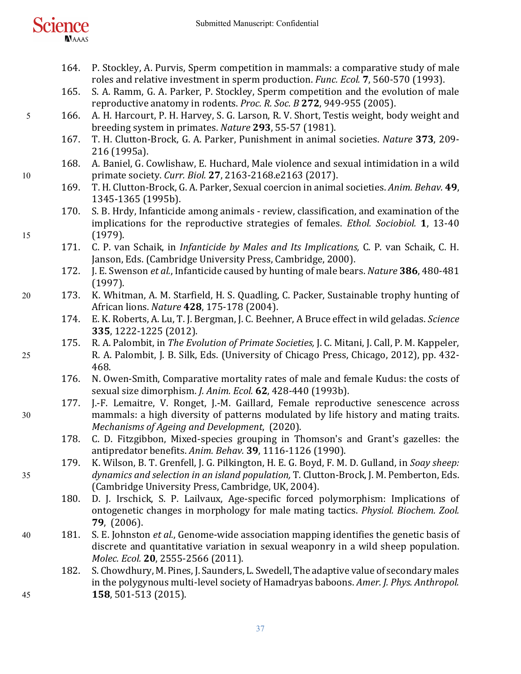

- 164. P. Stockley, A. Purvis, Sperm competition in mammals: a comparative study of male roles and relative investment in sperm production. *Func. Ecol.* **7**, 560-570 (1993).
- 165. S. A. Ramm, G. A. Parker, P. Stockley, Sperm competition and the evolution of male reproductive anatomy in rodents. *Proc. R. Soc. B* 272, 949-955 (2005).
- 5 166. A. H. Harcourt, P. H. Harvey, S. G. Larson, R. V. Short, Testis weight, body weight and breeding system in primates. *Nature* **293**, 55-57 (1981).
	- 167. T. H. Clutton-Brock, G. A. Parker, Punishment in animal societies. *Nature* 373, 209-216 (1995a).
- 168. A. Baniel, G. Cowlishaw, E. Huchard, Male violence and sexual intimidation in a wild 10 primate society. *Curr. Biol.* **27**, 2163-2168.e2163 (2017).
	- 169. T. H. Clutton-Brock, G. A. Parker, Sexual coercion in animal societies. Anim. Behav. 49, 1345-1365 (1995b).
- 170. S. B. Hrdy, Infanticide among animals review, classification, and examination of the implications for the reproductive strategies of females. *Ethol. Sociobiol.* **1**, 13-40 15 (1979).
	- 171. C. P. van Schaik, in *Infanticide by Males and Its Implications*, C. P. van Schaik, C. H. Janson, Eds. (Cambridge University Press, Cambridge, 2000).
	- 172. J. E. Swenson *et al.*, Infanticide caused by hunting of male bears. *Nature* 386, 480-481 (1997).
- 20 173. K. Whitman, A. M. Starfield, H. S. Quadling, C. Packer, Sustainable trophy hunting of African lions. *Nature* **428**, 175-178 (2004).
	- 174. E. K. Roberts, A. Lu, T. J. Bergman, J. C. Beehner, A Bruce effect in wild geladas. *Science* **335**, 1222-1225 (2012).
- 175. R. A. Palombit, in *The Evolution of Primate Societies*, J. C. Mitani, J. Call, P. M. Kappeler, 25 R. A. Palombit, J. B. Silk, Eds. (University of Chicago Press, Chicago, 2012), pp. 432-468.
	- 176. N. Owen-Smith, Comparative mortality rates of male and female Kudus: the costs of sexual size dimorphism. *J. Anim. Ecol.* **62**, 428-440 (1993b).
- 177. J.-F. Lemaitre, V. Ronget, J.-M. Gaillard, Female reproductive senescence across 30 mammals: a high diversity of patterns modulated by life history and mating traits. *Mechanisms of Ageing and Development,* (2020).
	- 178. C. D. Fitzgibbon, Mixed-species grouping in Thomson's and Grant's gazelles: the antipredator benefits. *Anim. Behav.* **39**, 1116-1126 (1990).
- 179. K. Wilson, B. T. Grenfell, J. G. Pilkington, H. E. G. Boyd, F. M. D. Gulland, in *Soay sheep:* 35 *dynamics and selection in an island population*, T. Clutton-Brock, J. M. Pemberton, Eds. (Cambridge University Press, Cambridge, UK, 2004).
	- 180. D. J. Irschick, S. P. Lailvaux, Age-specific forced polymorphism: Implications of ontogenetic changes in morphology for male mating tactics. *Physiol. Biochem. Zool.* **79**, (2006).
- 40 181. S. E. Johnston *et al.*, Genome-wide association mapping identifies the genetic basis of discrete and quantitative variation in sexual weaponry in a wild sheep population. *Molec. Ecol.* **20**, 2555-2566 (2011).
- 182. S. Chowdhury, M. Pines, J. Saunders, L. Swedell, The adaptive value of secondary males in the polygynous multi-level society of Hamadryas baboons. *Amer. J. Phys. Anthropol.* 45 **158**, 501-513 (2015).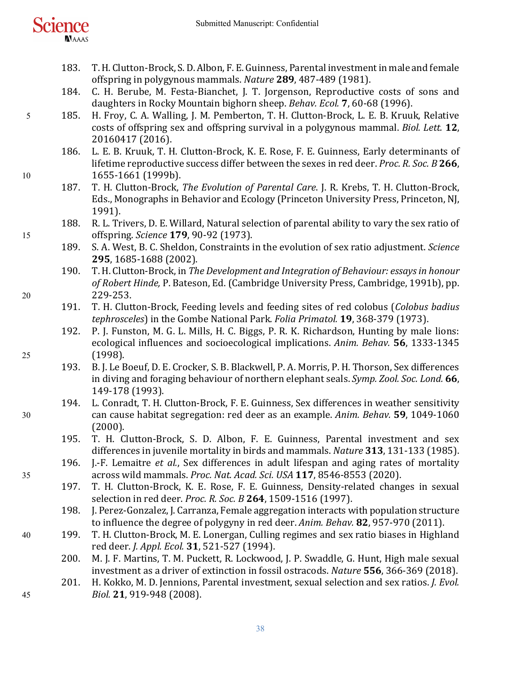| science |  |              |  |
|---------|--|--------------|--|
|         |  |              |  |
|         |  | <b>NAAAS</b> |  |

- 183. T. H. Clutton-Brock, S. D. Albon, F. E. Guinness, Parental investment in male and female offspring in polygynous mammals. *Nature* 289, 487-489 (1981).
- 184. C. H. Berube, M. Festa-Bianchet, J. T. Jorgenson, Reproductive costs of sons and daughters in Rocky Mountain bighorn sheep. *Behav. Ecol.* **7**, 60-68 (1996).
- 5 185. H. Froy, C. A. Walling, J. M. Pemberton, T. H. Clutton-Brock, L. E. B. Kruuk, Relative costs of offspring sex and offspring survival in a polygynous mammal. *Biol. Lett.* **12**, 20160417 (2016).
- 186. L. E. B. Kruuk, T. H. Clutton-Brock, K. E. Rose, F. E. Guinness, Early determinants of lifetime reproductive success differ between the sexes in red deer. *Proc. R. Soc. B* 266, 10 1655-1661 (1999b).
	- 187. T. H. Clutton-Brock, *The Evolution of Parental Care*. J. R. Krebs, T. H. Clutton-Brock, Eds., Monographs in Behavior and Ecology (Princeton University Press, Princeton, NJ, 1991).
- 188. R. L. Trivers, D. E. Willard, Natural selection of parental ability to vary the sex ratio of 15 offspring. *Science* **179**, 90-92 (1973).
	- 189. S. A. West, B. C. Sheldon, Constraints in the evolution of sex ratio adjustment. *Science* **295**, 1685-1688 (2002).
- 190. T. H. Clutton-Brock, in *The Development and Integration of Behaviour: essays in honour* of Robert Hinde, P. Bateson, Ed. (Cambridge University Press, Cambridge, 1991b), pp. 20 229-253.
	- 191. T. H. Clutton-Brock, Feeding levels and feeding sites of red colobus (*Colobus badius tephrosceles*) in the Gombe National Park. *Folia Primatol.* **19**, 368-379 (1973).
- 192. P. J. Funston, M. G. L. Mills, H. C. Biggs, P. R. K. Richardson, Hunting by male lions: ecological influences and socioecological implications. Anim. Behav. **56**, 1333-1345 25 (1998).
	- 193. B. J. Le Boeuf, D. E. Crocker, S. B. Blackwell, P. A. Morris, P. H. Thorson, Sex differences in diving and foraging behaviour of northern elephant seals. *Symp. Zool. Soc. Lond.* 66, 149-178 (1993).
- 194. L. Conradt, T. H. Clutton-Brock, F. E. Guinness, Sex differences in weather sensitivity 30 can cause habitat segregation: red deer as an example. *Anim. Behav.* **59**, 1049-1060 (2000).
	- 195. T. H. Clutton-Brock, S. D. Albon, F. E. Guinness, Parental investment and sex differences in juvenile mortality in birds and mammals. *Nature* 313, 131-133 (1985).
- 196. J.-F. Lemaitre *et al.*, Sex differences in adult lifespan and aging rates of mortality 35 across wild mammals. *Proc. Nat. Acad. Sci. USA* **117**, 8546-8553 (2020).
	- 197. T. H. Clutton-Brock, K. E. Rose, F. E. Guinness, Density-related changes in sexual selection in red deer. *Proc. R. Soc. B* 264, 1509-1516 (1997).
	- 198. J. Perez-Gonzalez, J. Carranza, Female aggregation interacts with population structure to influence the degree of polygyny in red deer. *Anim. Behav.* **82**, 957-970 (2011).
- 40 199. T. H. Clutton-Brock, M. E. Lonergan, Culling regimes and sex ratio biases in Highland red deer. *J. Appl. Ecol.* **31**, 521-527 (1994).
	- 200. M. J. F. Martins, T. M. Puckett, R. Lockwood, J. P. Swaddle, G. Hunt, High male sexual investment as a driver of extinction in fossil ostracods. *Nature* 556, 366-369 (2018).
- 201. H. Kokko, M. D. Jennions, Parental investment, sexual selection and sex ratios. *J. Evol.* 45 *Biol.* **21**, 919-948 (2008).
	- 38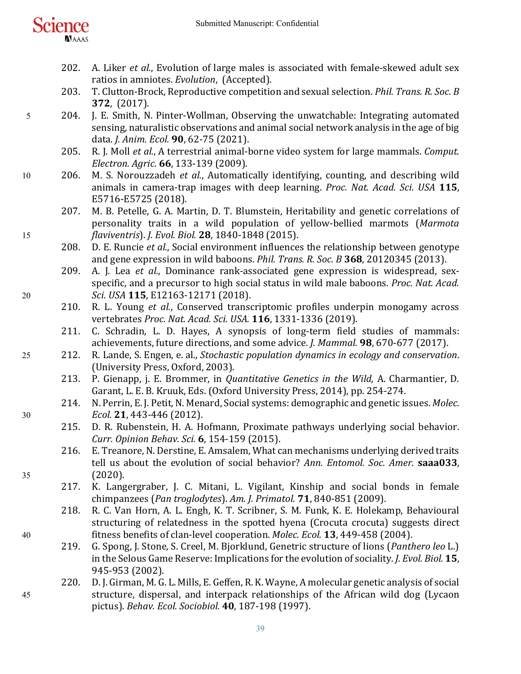

- 202. A. Liker *et al.*, Evolution of large males is associated with female-skewed adult sex ratios in amniotes. *Evolution*, (Accepted).
- 203. T. Clutton-Brock, Reproductive competition and sexual selection. *Phil. Trans. R. Soc. B* **372**, (2017).
- 5 204. J. E. Smith, N. Pinter-Wollman, Observing the unwatchable: Integrating automated sensing, naturalistic observations and animal social network analysis in the age of big data. *J. Anim. Ecol.* **90**, 62-75 (2021).
	- 205. R. J. Moll *et al.*, A terrestrial animal-borne video system for large mammals. *Comput. Electron. Agric.* **66**, 133-139 (2009).
- 10 206. M. S. Norouzzadeh *et al.*, Automatically identifying, counting, and describing wild animals in camera-trap images with deep learning. *Proc. Nat. Acad. Sci. USA* 115, E5716-E5725 (2018).
- 207. M. B. Petelle, G. A. Martin, D. T. Blumstein, Heritability and genetic correlations of personality traits in a wild population of yellow-bellied marmots (Marmota 15 *flaviventris*). *J. Evol. Biol.* **28**, 1840-1848 (2015).
	- 208. D. E. Runcie *et al.*, Social environment influences the relationship between genotype and gene expression in wild baboons. *Phil. Trans. R. Soc. B* 368, 20120345 (2013).
- 209. A. J. Lea *et al.*, Dominance rank-associated gene expression is widespread, sexspecific, and a precursor to high social status in wild male baboons. *Proc. Nat. Acad.* 20 *Sci.* USA **115**, E12163-12171 (2018).
	- 210. R. L. Young *et al.*, Conserved transcriptomic profiles underpin monogamy across vertebrates *Proc. Nat. Acad. Sci. USA.* **116**, 1331-1336 (2019).
	- 211. C. Schradin, L. D. Hayes, A synopsis of long-term field studies of mammals: achievements, future directions, and some advice. *J. Mammal.* **98**, 670-677 (2017).
- 25 212. R. Lande, S. Engen, e. al., *Stochastic population dynamics in ecology and conservation*. (University Press, Oxford, 2003).
	- 213. P. Gienapp, j. E. Brommer, in *Quantitative Genetics in the Wild*, A. Charmantier, D. Garant, L. E. B. Kruuk, Eds. (Oxford University Press, 2014), pp. 254-274.
- 214. N. Perrin, E. J. Petit, N. Menard, Social systems: demographic and genetic issues. *Molec.* 30 *Ecol.* **21**, 443-446 (2012).
	- 215. D. R. Rubenstein, H. A. Hofmann, Proximate pathways underlying social behavior. *Curr. Opinion Behav. Sci.* **6**, 154-159 (2015).
- 216. E. Treanore, N. Derstine, E. Amsalem, What can mechanisms underlying derived traits tell us about the evolution of social behavior? *Ann. Entomol. Soc. Amer.* saaa033. 35 (2020).
	- 217. K. Langergraber, J. C. Mitani, L. Vigilant, Kinship and social bonds in female chimpanzees (*Pan troglodytes*). *Am. J. Primatol.* **71**, 840-851 (2009).
- 218. R. C. Van Horn, A. L. Engh, K. T. Scribner, S. M. Funk, K. E. Holekamp, Behavioural structuring of relatedness in the spotted hyena (Crocuta crocuta) suggests direct 40 fitness benefits of clan-level cooperation. *Molec. Ecol.* **13**, 449-458 (2004).
	- 219. G. Spong, J. Stone, S. Creel, M. Bjorklund, Genetric structure of lions (*Panthero leo* L.) in the Selous Game Reserve: Implications for the evolution of sociality. *J. Evol. Biol.* **15**, 945-953 (2002).
- 220. D. J. Girman, M. G. L. Mills, E. Geffen, R. K. Wayne, A molecular genetic analysis of social 45 structure, dispersal, and interpack relationships of the African wild dog (Lycaon pictus). *Behav. Ecol. Sociobiol.* **40**, 187-198 (1997).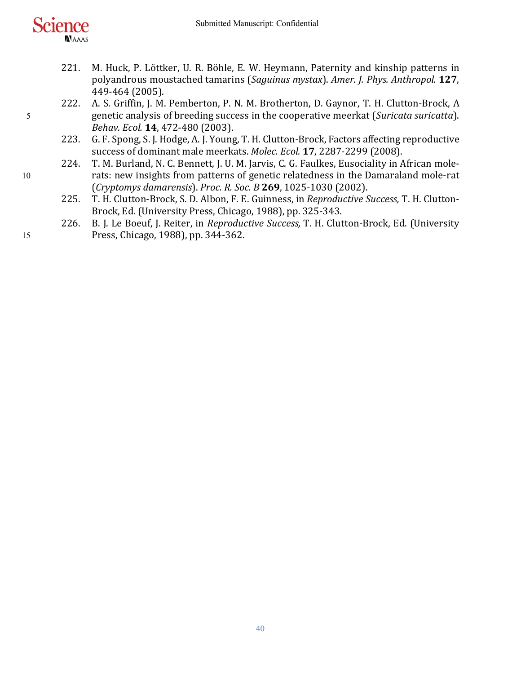

- 221. M. Huck, P. Löttker, U. R. Böhle, E. W. Heymann, Paternity and kinship patterns in polyandrous moustached tamarins (Saguinus mystax). Amer. J. Phys. Anthropol. 127, 449-464 (2005).
- 222. A. S. Griffin, J. M. Pemberton, P. N. M. Brotherton, D. Gaynor, T. H. Clutton-Brock, A 5 senetic analysis of breeding success in the cooperative meerkat (*Suricata suricatta*). *Behav. Ecol.* **14**, 472-480 (2003).
	- 223. G. F. Spong, S. J. Hodge, A. J. Young, T. H. Clutton-Brock, Factors affecting reproductive success of dominant male meerkats. Molec. Ecol. 17, 2287-2299 (2008).
- 224. T. M. Burland, N. C. Bennett, J. U. M. Jarvis, C. G. Faulkes, Eusociality in African mole-10 rats: new insights from patterns of genetic relatedness in the Damaraland mole-rat (*Cryptomys damarensis*). *Proc. R. Soc. B* **269**, 1025-1030 (2002).
	- 225. T. H. Clutton-Brock, S. D. Albon, F. E. Guinness, in *Reproductive Success*, T. H. Clutton-Brock, Ed. (University Press, Chicago, 1988), pp. 325-343.
- 226. B. J. Le Boeuf, J. Reiter, in *Reproductive Success*, T. H. Clutton-Brock, Ed. (University 15 Press, Chicago, 1988), pp. 344-362.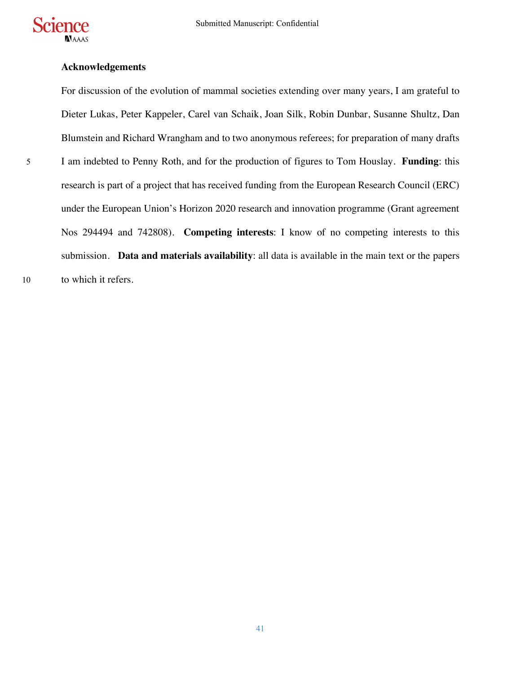

## **Acknowledgements**

For discussion of the evolution of mammal societies extending over many years, I am grateful to Dieter Lukas, Peter Kappeler, Carel van Schaik, Joan Silk, Robin Dunbar, Susanne Shultz, Dan Blumstein and Richard Wrangham and to two anonymous referees; for preparation of many drafts 5 I am indebted to Penny Roth, and for the production of figures to Tom Houslay. **Funding**: this research is part of a project that has received funding from the European Research Council (ERC) under the European Union's Horizon 2020 research and innovation programme (Grant agreement Nos 294494 and 742808). **Competing interests**: I know of no competing interests to this submission. **Data and materials availability**: all data is available in the main text or the papers 10 to which it refers.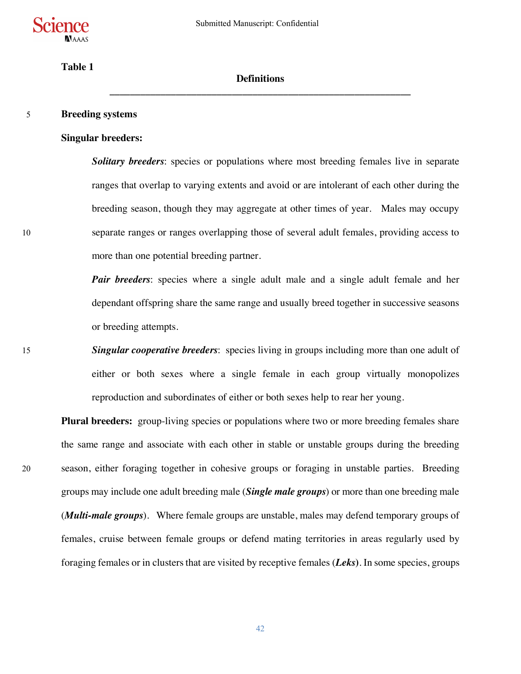

# **Table 1**

# **Definitions \_\_\_\_\_\_\_\_\_\_\_\_\_\_\_\_\_\_\_\_\_\_\_\_\_\_\_\_\_\_\_\_\_\_\_\_\_\_\_\_\_\_\_\_\_\_\_\_\_\_\_\_\_\_\_\_\_\_\_**

#### 5 **Breeding systems**

#### **Singular breeders:**

**Solitary breeders**: species or populations where most breeding females live in separate ranges that overlap to varying extents and avoid or are intolerant of each other during the breeding season, though they may aggregate at other times of year. Males may occupy 10 separate ranges or ranges overlapping those of several adult females, providing access to more than one potential breeding partner.

> *Pair breeders*: species where a single adult male and a single adult female and her dependant offspring share the same range and usually breed together in successive seasons or breeding attempts.

15 *Singular cooperative breeders*: species living in groups including more than one adult of either or both sexes where a single female in each group virtually monopolizes reproduction and subordinates of either or both sexes help to rear her young.

Plural breeders: group-living species or populations where two or more breeding females share the same range and associate with each other in stable or unstable groups during the breeding 20 season, either foraging together in cohesive groups or foraging in unstable parties. Breeding groups may include one adult breeding male (*Single male groups*) or more than one breeding male (*Multi-male groups*). Where female groups are unstable, males may defend temporary groups of females, cruise between female groups or defend mating territories in areas regularly used by foraging females or in clusters that are visited by receptive females (*Leks***)**. In some species, groups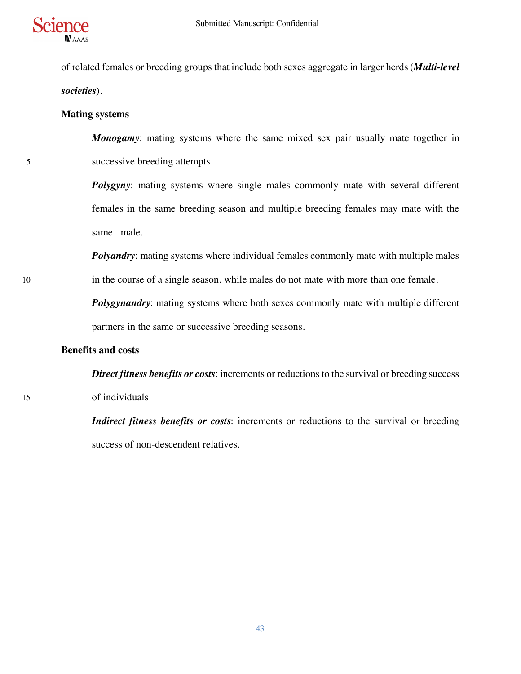

of related females or breeding groups that include both sexes aggregate in larger herds (*Multi-level societies*).

## **Mating systems**

*Monogamy*: mating systems where the same mixed sex pair usually mate together in 5 successive breeding attempts.

> *Polygyny*: mating systems where single males commonly mate with several different females in the same breeding season and multiple breeding females may mate with the same male.

*Polyandry*: mating systems where individual females commonly mate with multiple males 10 in the course of a single season, while males do not mate with more than one female.

> *Polygynandry:* mating systems where both sexes commonly mate with multiple different partners in the same or successive breeding seasons.

## **Benefits and costs**

*Direct fitness benefits or costs*: increments or reductions to the survival or breeding success 15 of individuals

> *Indirect fitness benefits or costs*: increments or reductions to the survival or breeding success of non-descendent relatives.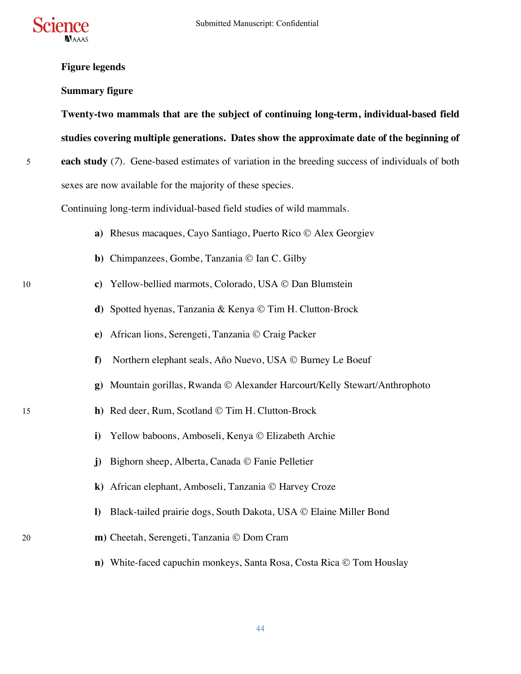

# **Figure legends**

## **Summary figure**

**Twenty-two mammals that are the subject of continuing long-term, individual-based field studies covering multiple generations. Dates show the approximate date of the beginning of** 

5 **each study** (*7*). Gene-based estimates of variation in the breeding success of individuals of both sexes are now available for the majority of these species.

Continuing long-term individual-based field studies of wild mammals.

- **a**) Rhesus macaques, Cayo Santiago, Puerto Rico © Alex Georgiev
- **b**) Chimpanzees, Gombe, Tanzania © Ian C. Gilby
- 10 **c)** Yellow-bellied marmots, Colorado, USA © Dan Blumstein
	- **d**) Spotted hyenas, Tanzania & Kenya © Tim H. Clutton-Brock
	- **e**) African lions, Serengeti, Tanzania © Craig Packer
	- **f**) Northern elephant seals, Año Nuevo, USA © Burney Le Boeuf
	- **g**) Mountain gorillas, Rwanda © Alexander Harcourt/Kelly Stewart/Anthrophoto
- 15 **h)** Red deer, Rum, Scotland © Tim H. Clutton-Brock
	- **i**) Yellow baboons, Amboseli, Kenya © Elizabeth Archie
	- **j**) Bighorn sheep, Alberta, Canada © Fanie Pelletier
	- k) African elephant, Amboseli, Tanzania © Harvey Croze
	- **l)** Black-tailed prairie dogs, South Dakota, USA © Elaine Miller Bond
- 20 **m**) Cheetah, Serengeti, Tanzania © Dom Cram
	- **n)** White-faced capuchin monkeys, Santa Rosa, Costa Rica © Tom Houslay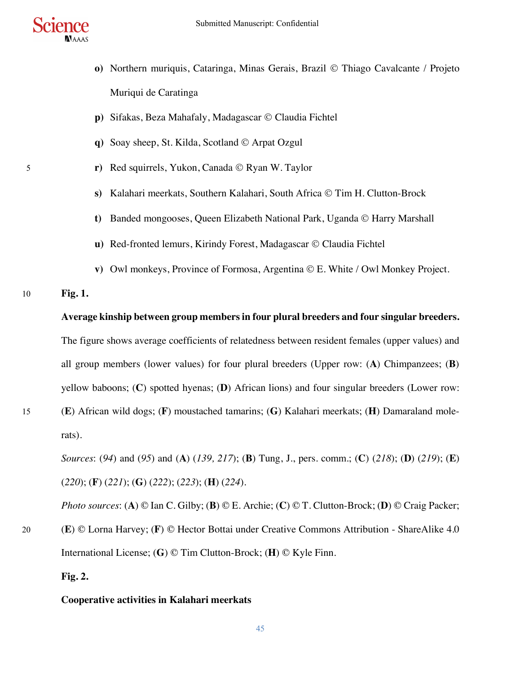

- **o**) Northern muriquis, Cataringa, Minas Gerais, Brazil © Thiago Cavalcante / Projeto Muriqui de Caratinga
- **p**) Sifakas, Beza Mahafaly, Madagascar © Claudia Fichtel
- **q**) Soay sheep, St. Kilda, Scotland © Arpat Ozgul
- 5 **r)** Red squirrels, Yukon, Canada © Ryan W. Taylor
	- **s**) Kalahari meerkats, Southern Kalahari, South Africa © Tim H. Clutton-Brock
	- **t)** Banded mongooses, Queen Elizabeth National Park, Uganda © Harry Marshall
	- **u**) Red-fronted lemurs, Kirindy Forest, Madagascar © Claudia Fichtel
	- **v**) Owl monkeys, Province of Formosa, Argentina © E. White / Owl Monkey Project.

## 10 **Fig. 1.**

## **Average kinship between group members in four plural breeders and four singular breeders.**

The figure shows average coefficients of relatedness between resident females (upper values) and all group members (lower values) for four plural breeders (Upper row: (**A**) Chimpanzees; (**B**) yellow baboons; (**C**) spotted hyenas; (**D**) African lions) and four singular breeders (Lower row:

15 (**E**) African wild dogs; (**F**) moustached tamarins; (**G**) Kalahari meerkats; (**H**) Damaraland molerats).

*Sources*: (*94*) and (*95*) and (**A**) (*139, 217*); (**B**) Tung, J., pers. comm.; (**C**) (*218*); (**D**) (*219*); (**E**) (*220*); (**F**) (*221*); (**G**) (*222*); (*223*); (**H**) (*224*).

*Photo sources*: (**A**) © Ian C. Gilby; (**B**) © E. Archie; (**C**) © T. Clutton-Brock; (**D**) © Craig Packer; 20 (**E**) © Lorna Harvey; (**F**) © Hector Bottai under Creative Commons Attribution - ShareAlike 4.0 International License; (**G**) © Tim Clutton-Brock; (**H**) © Kyle Finn.

# **Fig. 2.**

## **Cooperative activities in Kalahari meerkats**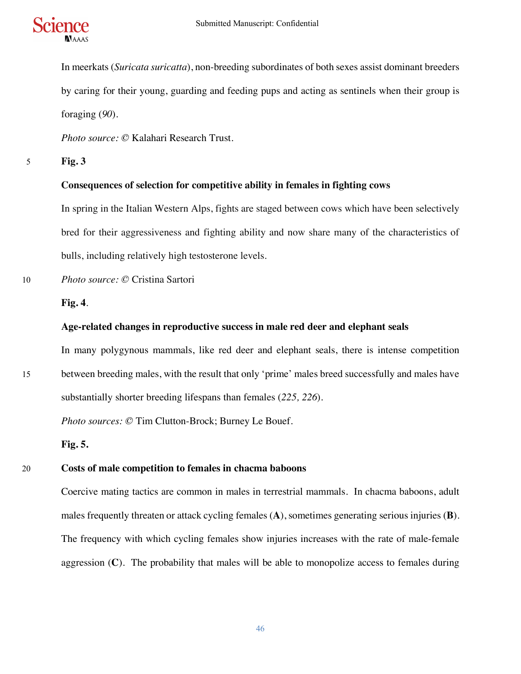

In meerkats (*Suricata suricatta*), non-breeding subordinates of both sexes assist dominant breeders by caring for their young, guarding and feeding pups and acting as sentinels when their group is foraging (*90*).

*Photo source: ©* Kalahari Research Trust.

5 **Fig. 3**

## **Consequences of selection for competitive ability in females in fighting cows**

In spring in the Italian Western Alps, fights are staged between cows which have been selectively bred for their aggressiveness and fighting ability and now share many of the characteristics of bulls, including relatively high testosterone levels.

10 *Photo source: ©* Cristina Sartori

## **Fig. 4**.

## **Age-related changes in reproductive success in male red deer and elephant seals**

In many polygynous mammals, like red deer and elephant seals, there is intense competition 15 between breeding males, with the result that only 'prime' males breed successfully and males have substantially shorter breeding lifespans than females (*225, 226*).

*Photo sources: ©* Tim Clutton-Brock; Burney Le Bouef.

**Fig. 5.**

# 20 **Costs of male competition to females in chacma baboons**

Coercive mating tactics are common in males in terrestrial mammals. In chacma baboons, adult males frequently threaten or attack cycling females (**A**), sometimes generating serious injuries (**B**). The frequency with which cycling females show injuries increases with the rate of male-female aggression (**C**). The probability that males will be able to monopolize access to females during